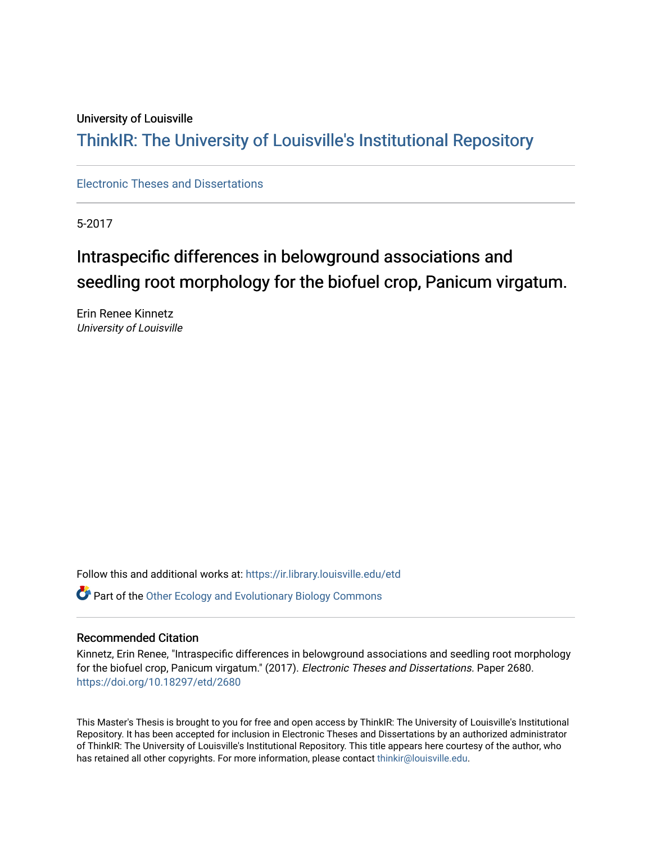#### University of Louisville

### ThinkIR: The Univ[ersity of Louisville's Institutional Reposit](https://ir.library.louisville.edu/)ory

[Electronic Theses and Dissertations](https://ir.library.louisville.edu/etd)

5-2017

## Intraspecific differences in belowground associations and seedling root morphology for the biofuel crop, Panicum virgatum.

Erin Renee Kinnetz University of Louisville

Follow this and additional works at: [https://ir.library.louisville.edu/etd](https://ir.library.louisville.edu/etd?utm_source=ir.library.louisville.edu%2Fetd%2F2680&utm_medium=PDF&utm_campaign=PDFCoverPages)  **P** Part of the Other Ecology and Evolutionary Biology Commons

#### Recommended Citation

Kinnetz, Erin Renee, "Intraspecific differences in belowground associations and seedling root morphology for the biofuel crop, Panicum virgatum." (2017). Electronic Theses and Dissertations. Paper 2680. <https://doi.org/10.18297/etd/2680>

This Master's Thesis is brought to you for free and open access by ThinkIR: The University of Louisville's Institutional Repository. It has been accepted for inclusion in Electronic Theses and Dissertations by an authorized administrator of ThinkIR: The University of Louisville's Institutional Repository. This title appears here courtesy of the author, who has retained all other copyrights. For more information, please contact [thinkir@louisville.edu](mailto:thinkir@louisville.edu).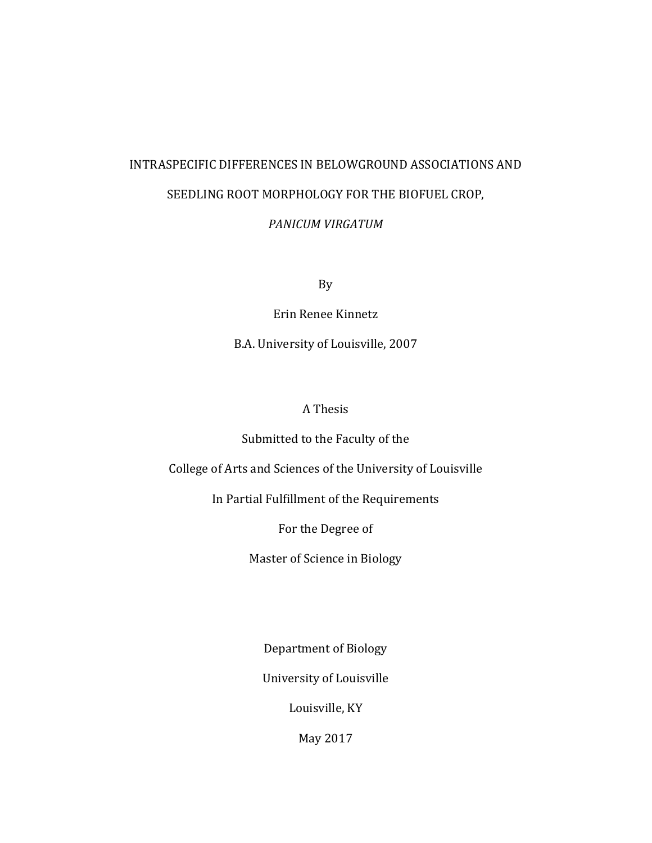## INTRASPECIFIC DIFFERENCES IN BELOWGROUND ASSOCIATIONS AND SEEDLING ROOT MORPHOLOGY FOR THE BIOFUEL CROP,

*PANICUM VIRGATUM*

By

Erin Renee Kinnetz

B.A. University of Louisville, 2007

### A Thesis

### Submitted to the Faculty of the

College of Arts and Sciences of the University of Louisville

In Partial Fulfillment of the Requirements

For the Degree of

Master of Science in Biology

Department of Biology

University of Louisville

Louisville, KY

May 2017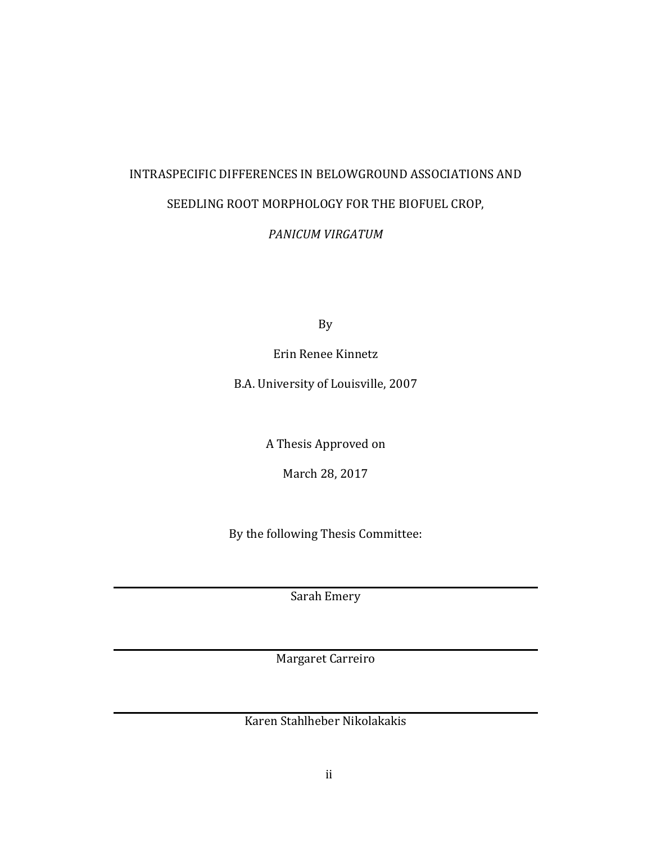## INTRASPECIFIC DIFFERENCES IN BELOWGROUND ASSOCIATIONS AND SEEDLING ROOT MORPHOLOGY FOR THE BIOFUEL CROP,

### *PANICUM VIRGATUM*

By

Erin Renee Kinnetz

B.A. University of Louisville, 2007

A Thesis Approved on

March 28, 2017

By the following Thesis Committee:

Sarah Emery

Margaret Carreiro

Karen Stahlheber Nikolakakis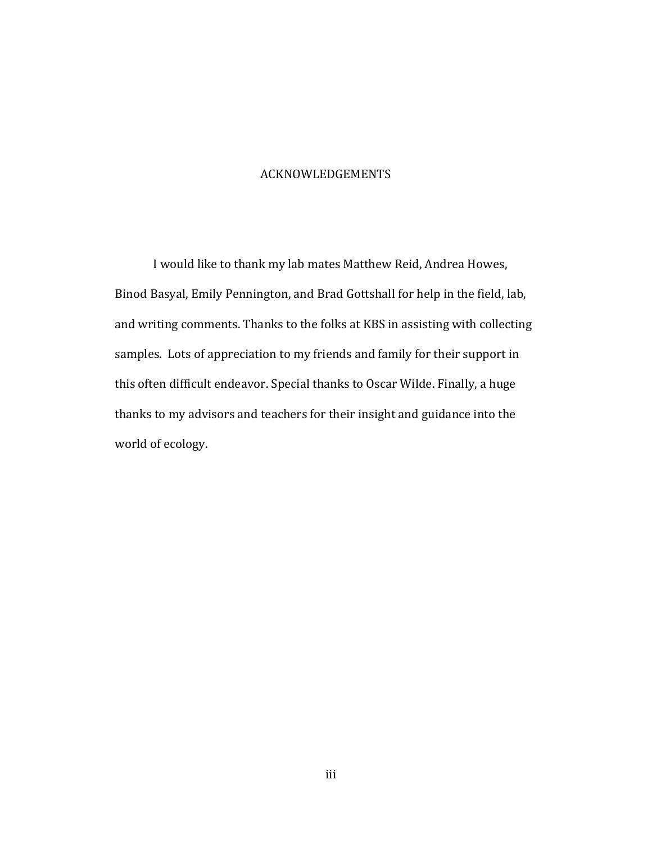#### ACKNOWLEDGEMENTS

I would like to thank my lab mates Matthew Reid, Andrea Howes, Binod Basyal, Emily Pennington, and Brad Gottshall for help in the field, lab, and writing comments. Thanks to the folks at KBS in assisting with collecting samples. Lots of appreciation to my friends and family for their support in this often difficult endeavor. Special thanks to Oscar Wilde. Finally, a huge thanks to my advisors and teachers for their insight and guidance into the world of ecology.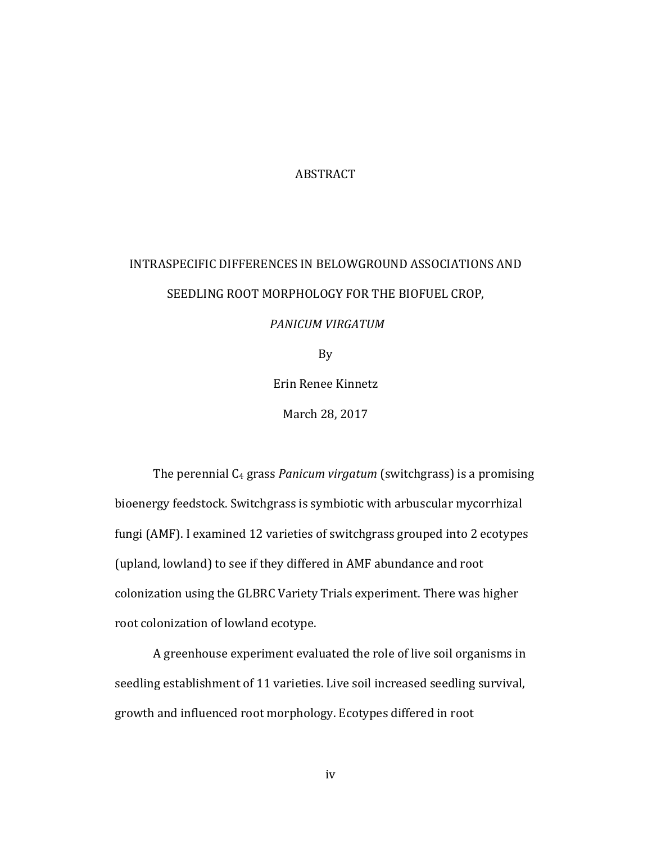#### ABSTRACT

# INTRASPECIFIC DIFFERENCES IN BELOWGROUND ASSOCIATIONS AND SEEDLING ROOT MORPHOLOGY FOR THE BIOFUEL CROP,

#### *PANICUM VIRGATUM*

By

Erin Renee Kinnetz

March 28, 2017

The perennial C<sub>4</sub> grass *Panicum virgatum* (switchgrass) is a promising bioenergy feedstock. Switchgrass is symbiotic with arbuscular mycorrhizal fungi (AMF). I examined 12 varieties of switchgrass grouped into 2 ecotypes (upland, lowland) to see if they differed in AMF abundance and root colonization using the GLBRC Variety Trials experiment. There was higher root colonization of lowland ecotype.

A greenhouse experiment evaluated the role of live soil organisms in seedling establishment of 11 varieties. Live soil increased seedling survival, growth and influenced root morphology. Ecotypes differed in root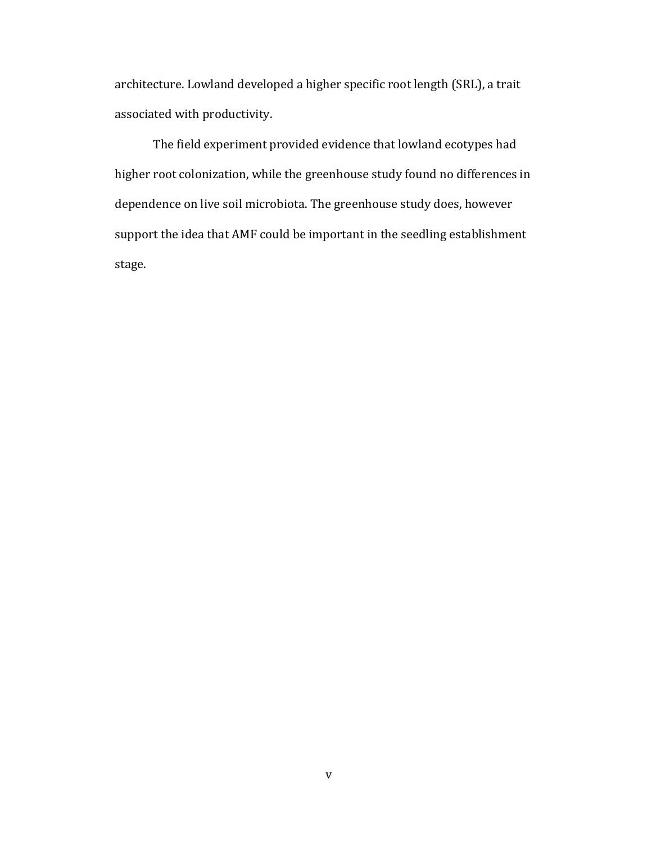architecture. Lowland developed a higher specific root length (SRL), a trait associated with productivity.

The field experiment provided evidence that lowland ecotypes had higher root colonization, while the greenhouse study found no differences in dependence on live soil microbiota. The greenhouse study does, however support the idea that AMF could be important in the seedling establishment stage.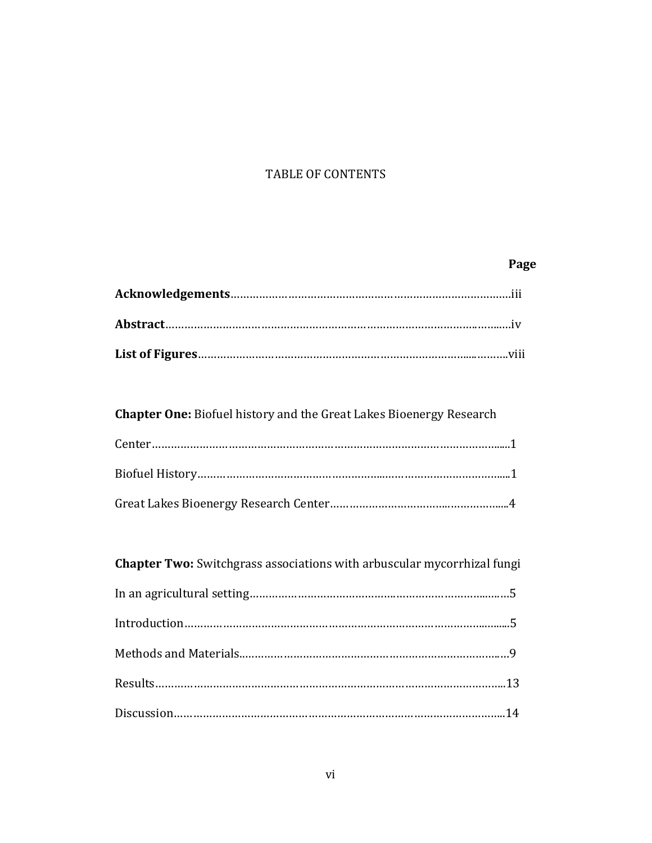### TABLE OF CONTENTS

### **Page**

**Chapter One:** Biofuel history and the Great Lakes Bioenergy Research

| <b>Chapter Two:</b> Switchgrass associations with arbuscular mycorrhizal fungi |  |
|--------------------------------------------------------------------------------|--|
|                                                                                |  |
|                                                                                |  |
|                                                                                |  |
|                                                                                |  |
|                                                                                |  |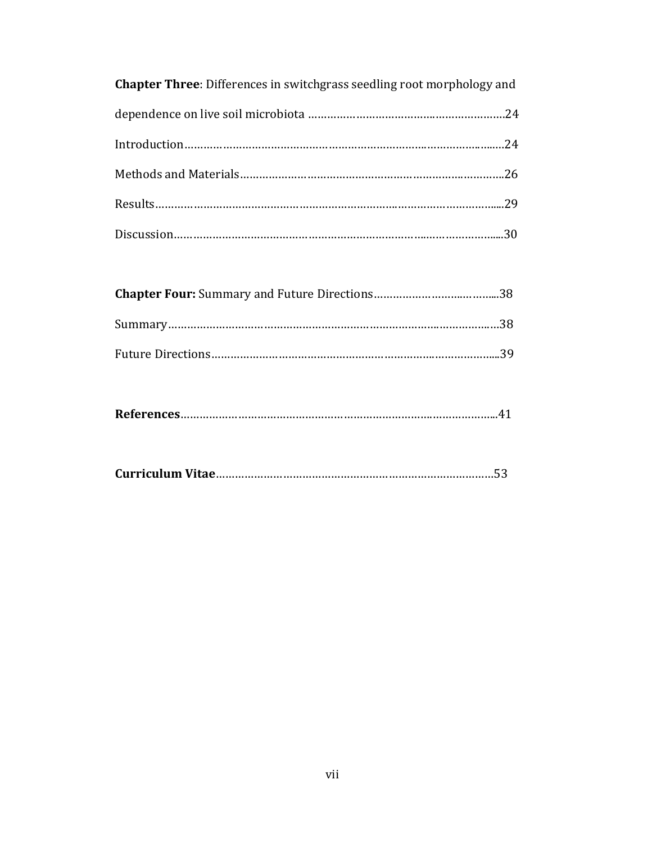| <b>Chapter Three:</b> Differences in switchgrass seedling root morphology and |  |
|-------------------------------------------------------------------------------|--|
|                                                                               |  |
|                                                                               |  |
|                                                                               |  |
|                                                                               |  |
|                                                                               |  |

|--|

|--|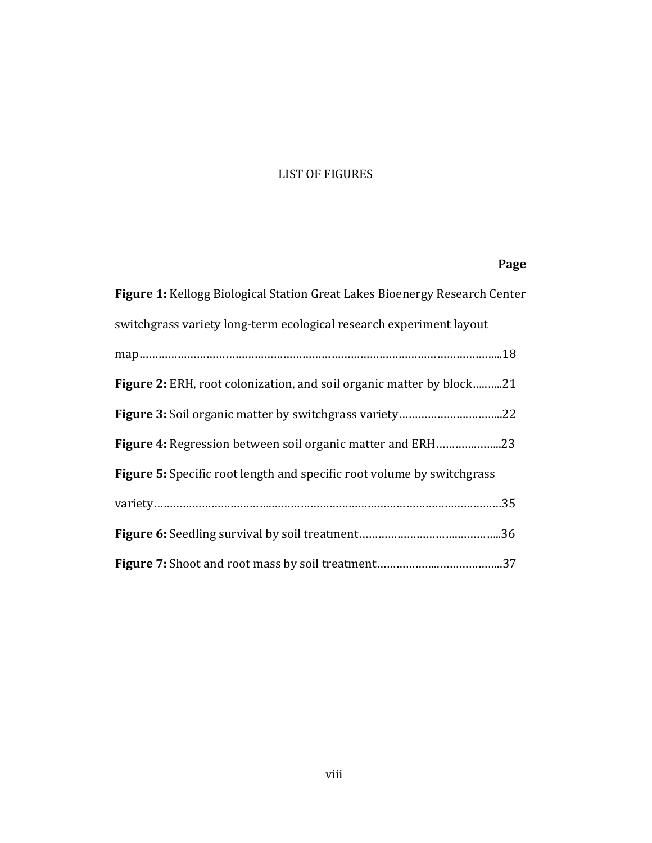### LIST OF FIGURES

### **Page**

| Figure 1: Kellogg Biological Station Great Lakes Bioenergy Research Center    |
|-------------------------------------------------------------------------------|
| switchgrass variety long-term ecological research experiment layout           |
|                                                                               |
| <b>Figure 2:</b> ERH, root colonization, and soil organic matter by block21   |
|                                                                               |
| Figure 4: Regression between soil organic matter and ERH23                    |
| <b>Figure 5:</b> Specific root length and specific root volume by switchgrass |
|                                                                               |
|                                                                               |
|                                                                               |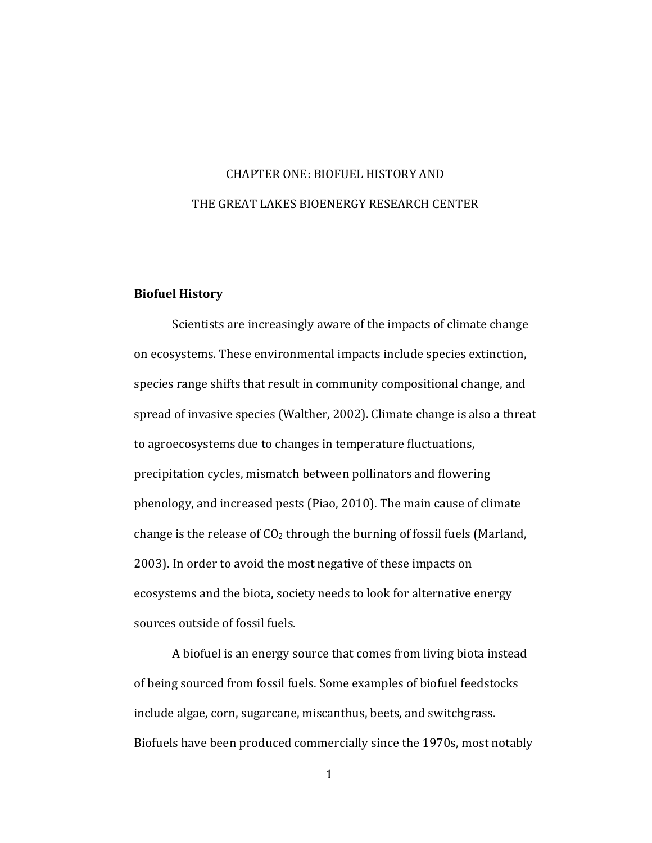## CHAPTER ONE: BIOFUEL HISTORY AND THE GREAT LAKES BIOENERGY RESEARCH CENTER

#### **Biofuel History**

Scientists are increasingly aware of the impacts of climate change on ecosystems. These environmental impacts include species extinction, species range shifts that result in community compositional change, and spread of invasive species (Walther, 2002). Climate change is also a threat to agroecosystems due to changes in temperature fluctuations, precipitation cycles, mismatch between pollinators and flowering phenology, and increased pests (Piao, 2010). The main cause of climate change is the release of  $CO<sub>2</sub>$  through the burning of fossil fuels (Marland, 2003). In order to avoid the most negative of these impacts on ecosystems and the biota, society needs to look for alternative energy sources outside of fossil fuels.

A biofuel is an energy source that comes from living biota instead of being sourced from fossil fuels. Some examples of biofuel feedstocks include algae, corn, sugarcane, miscanthus, beets, and switchgrass. Biofuels have been produced commercially since the 1970s, most notably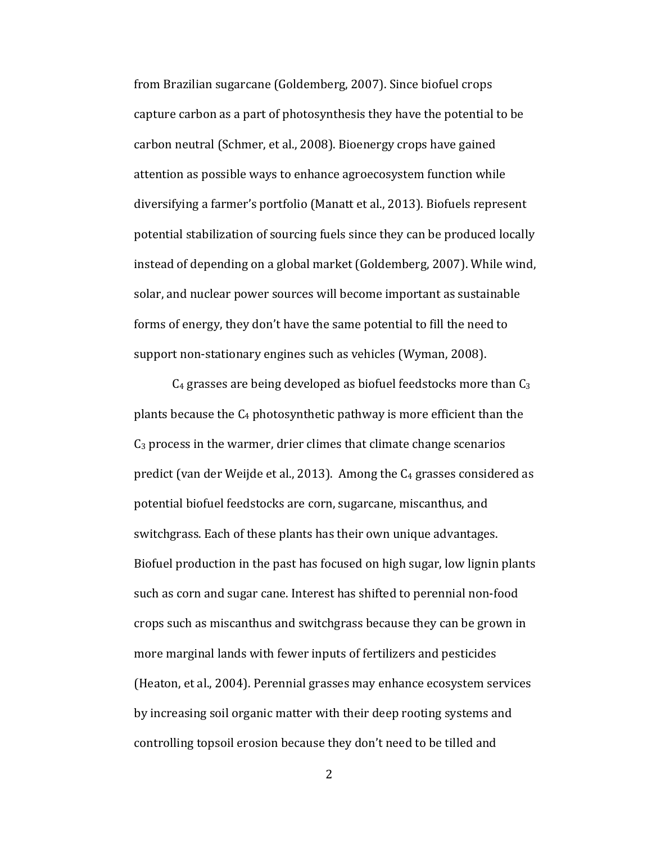from Brazilian sugarcane (Goldemberg, 2007). Since biofuel crops capture carbon as a part of photosynthesis they have the potential to be carbon neutral (Schmer, et al., 2008). Bioenergy crops have gained attention as possible ways to enhance agroecosystem function while diversifying a farmer's portfolio (Manatt et al., 2013). Biofuels represent potential stabilization of sourcing fuels since they can be produced locally instead of depending on a global market (Goldemberg, 2007). While wind, solar, and nuclear power sources will become important as sustainable forms of energy, they don't have the same potential to fill the need to support non-stationary engines such as vehicles (Wyman, 2008).

 $C_4$  grasses are being developed as biofuel feedstocks more than  $C_3$ plants because the  $C_4$  photosynthetic pathway is more efficient than the  $C_3$  process in the warmer, drier climes that climate change scenarios predict (van der Weijde et al., 2013). Among the  $C_4$  grasses considered as potential biofuel feedstocks are corn, sugarcane, miscanthus, and switchgrass. Each of these plants has their own unique advantages. Biofuel production in the past has focused on high sugar, low lignin plants such as corn and sugar cane. Interest has shifted to perennial non-food crops such as miscanthus and switchgrass because they can be grown in more marginal lands with fewer inputs of fertilizers and pesticides (Heaton, et al., 2004). Perennial grasses may enhance ecosystem services by increasing soil organic matter with their deep rooting systems and controlling topsoil erosion because they don't need to be tilled and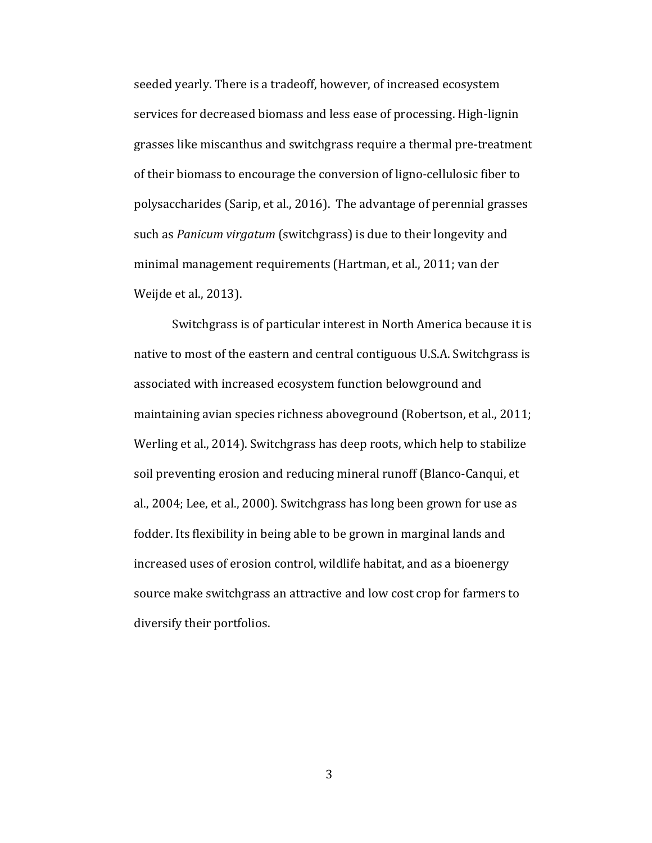seeded yearly. There is a tradeoff, however, of increased ecosystem services for decreased biomass and less ease of processing. High-lignin grasses like miscanthus and switchgrass require a thermal pre-treatment of their biomass to encourage the conversion of ligno-cellulosic fiber to polysaccharides (Sarip, et al., 2016). The advantage of perennial grasses such as *Panicum virgatum* (switchgrass) is due to their longevity and minimal management requirements (Hartman, et al., 2011; van der Weijde et al., 2013).

Switchgrass is of particular interest in North America because it is native to most of the eastern and central contiguous U.S.A. Switchgrass is associated with increased ecosystem function belowground and maintaining avian species richness aboveground (Robertson, et al., 2011; Werling et al., 2014). Switchgrass has deep roots, which help to stabilize soil preventing erosion and reducing mineral runoff (Blanco-Canqui, et al., 2004; Lee, et al., 2000). Switchgrass has long been grown for use as fodder. Its flexibility in being able to be grown in marginal lands and increased uses of erosion control, wildlife habitat, and as a bioenergy source make switchgrass an attractive and low cost crop for farmers to diversify their portfolios.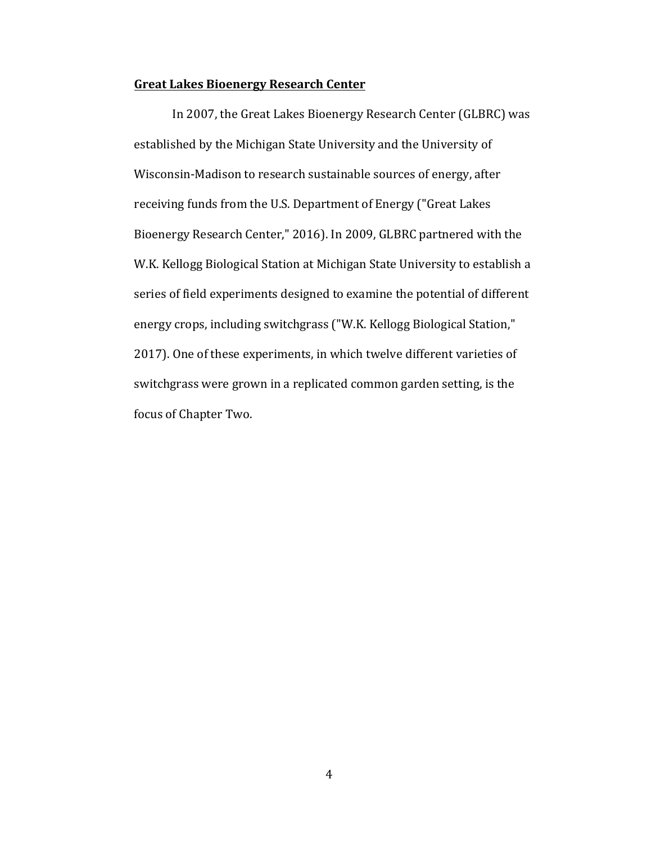#### **Great Lakes Bioenergy Research Center**

In 2007, the Great Lakes Bioenergy Research Center (GLBRC) was established by the Michigan State University and the University of Wisconsin-Madison to research sustainable sources of energy, after receiving funds from the U.S. Department of Energy ("Great Lakes Bioenergy Research Center," 2016). In 2009, GLBRC partnered with the W.K. Kellogg Biological Station at Michigan State University to establish a series of field experiments designed to examine the potential of different energy crops, including switchgrass ("W.K. Kellogg Biological Station," 2017). One of these experiments, in which twelve different varieties of switchgrass were grown in a replicated common garden setting, is the focus of Chapter Two.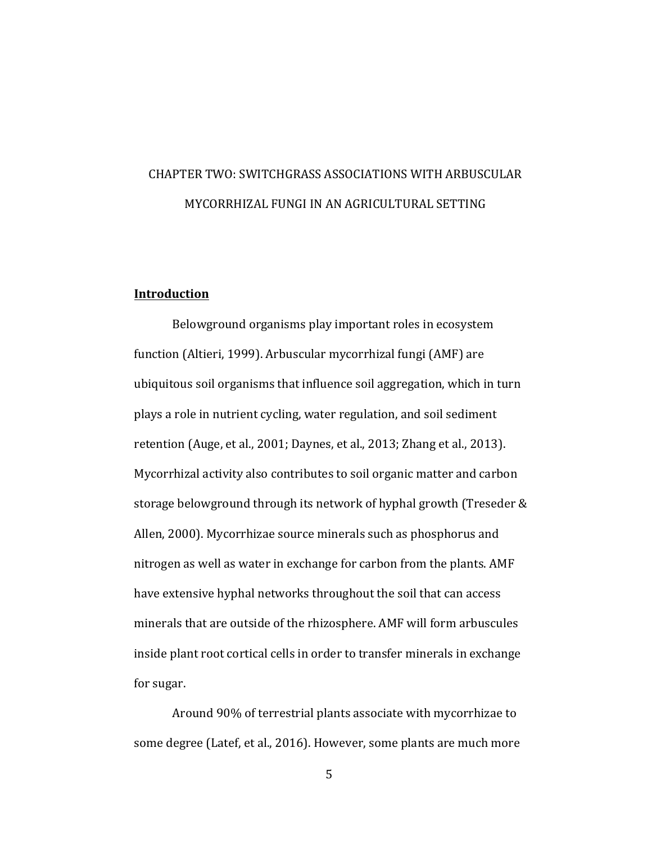## CHAPTER TWO: SWITCHGRASS ASSOCIATIONS WITH ARBUSCULAR MYCORRHIZAL FUNGI IN AN AGRICULTURAL SETTING

#### **Introduction**

Belowground organisms play important roles in ecosystem function (Altieri, 1999). Arbuscular mycorrhizal fungi (AMF) are ubiquitous soil organisms that influence soil aggregation, which in turn plays a role in nutrient cycling, water regulation, and soil sediment retention (Auge, et al., 2001; Daynes, et al., 2013; Zhang et al., 2013). Mycorrhizal activity also contributes to soil organic matter and carbon storage belowground through its network of hyphal growth (Treseder & Allen, 2000). Mycorrhizae source minerals such as phosphorus and nitrogen as well as water in exchange for carbon from the plants. AMF have extensive hyphal networks throughout the soil that can access minerals that are outside of the rhizosphere. AMF will form arbuscules inside plant root cortical cells in order to transfer minerals in exchange for sugar.

Around 90% of terrestrial plants associate with mycorrhizae to some degree (Latef, et al., 2016). However, some plants are much more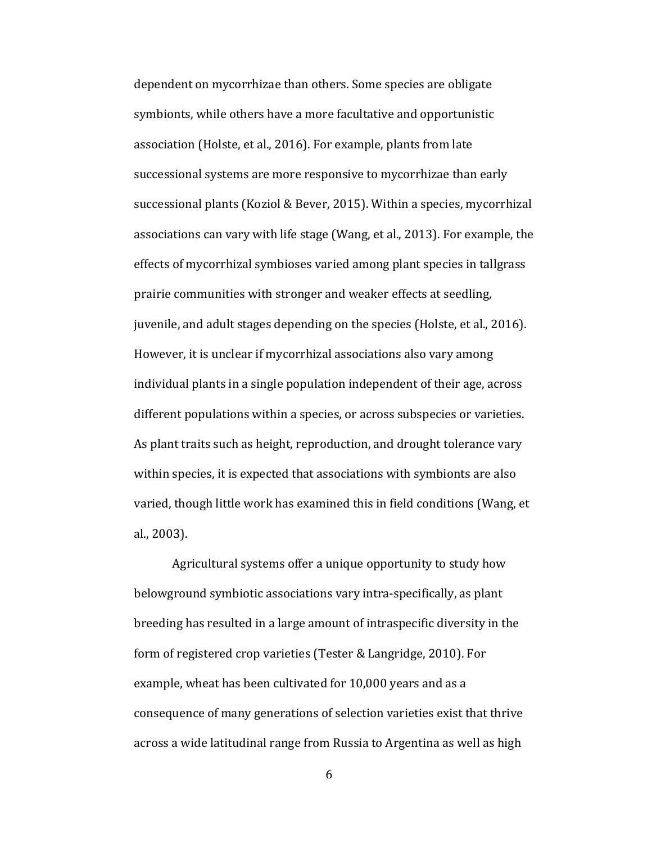dependent on mycorrhizae than others. Some species are obligate symbionts, while others have a more facultative and opportunistic association (Holste, et al., 2016). For example, plants from late successional systems are more responsive to mycorrhizae than early successional plants (Koziol & Bever, 2015). Within a species, mycorrhizal associations can vary with life stage (Wang, et al., 2013). For example, the effects of mycorrhizal symbioses varied among plant species in tallgrass prairie communities with stronger and weaker effects at seedling. juvenile, and adult stages depending on the species (Holste, et al., 2016). However, it is unclear if mycorrhizal associations also vary among individual plants in a single population independent of their age, across different populations within a species, or across subspecies or varieties. As plant traits such as height, reproduction, and drought tolerance vary within species, it is expected that associations with symbionts are also varied, though little work has examined this in field conditions (Wang, et al., 2003). 

Agricultural systems offer a unique opportunity to study how belowground symbiotic associations vary intra-specifically, as plant breeding has resulted in a large amount of intraspecific diversity in the form of registered crop varieties (Tester & Langridge, 2010). For example, wheat has been cultivated for 10,000 years and as a consequence of many generations of selection varieties exist that thrive across a wide latitudinal range from Russia to Argentina as well as high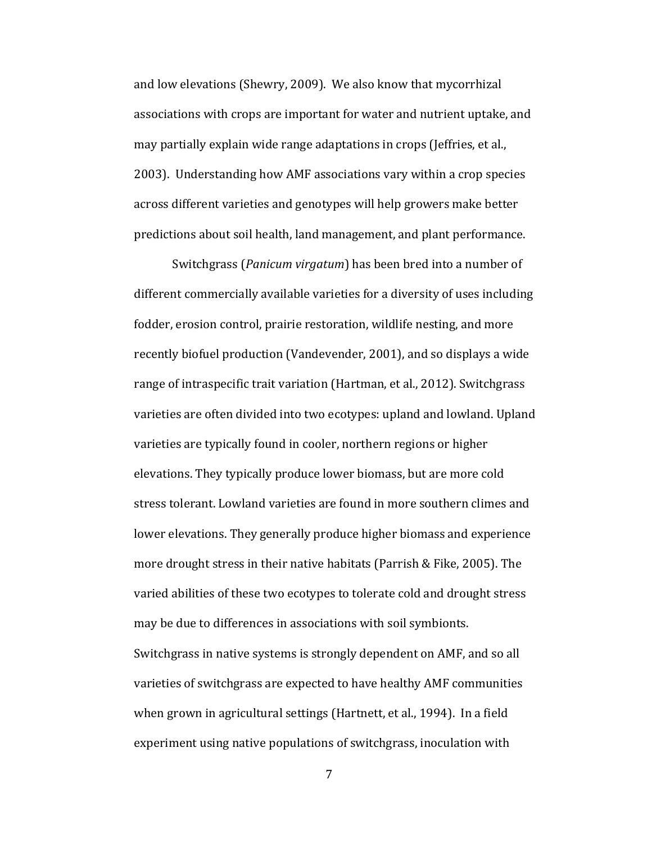and low elevations (Shewry, 2009). We also know that mycorrhizal associations with crops are important for water and nutrient uptake, and may partially explain wide range adaptations in crops (Jeffries, et al., 2003). Understanding how AMF associations vary within a crop species across different varieties and genotypes will help growers make better predictions about soil health, land management, and plant performance.

Switchgrass (*Panicum virgatum*) has been bred into a number of different commercially available varieties for a diversity of uses including fodder, erosion control, prairie restoration, wildlife nesting, and more recently biofuel production (Vandevender, 2001), and so displays a wide range of intraspecific trait variation (Hartman, et al., 2012). Switchgrass varieties are often divided into two ecotypes: upland and lowland. Upland varieties are typically found in cooler, northern regions or higher elevations. They typically produce lower biomass, but are more cold stress tolerant. Lowland varieties are found in more southern climes and lower elevations. They generally produce higher biomass and experience more drought stress in their native habitats (Parrish & Fike, 2005). The varied abilities of these two ecotypes to tolerate cold and drought stress may be due to differences in associations with soil symbionts.

Switchgrass in native systems is strongly dependent on AMF, and so all varieties of switchgrass are expected to have healthy AMF communities when grown in agricultural settings (Hartnett, et al., 1994). In a field experiment using native populations of switchgrass, inoculation with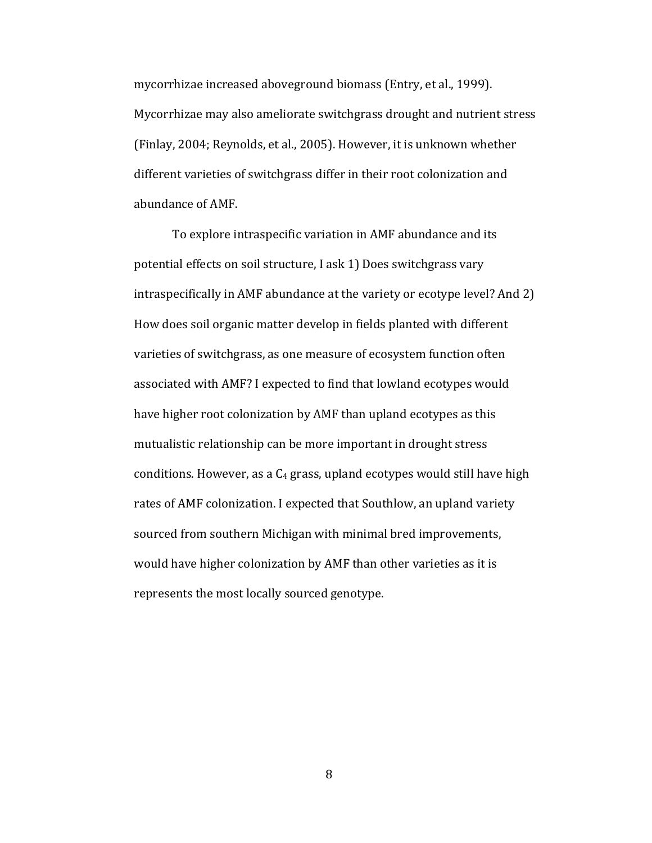mycorrhizae increased aboveground biomass (Entry, et al., 1999). Mycorrhizae may also ameliorate switchgrass drought and nutrient stress (Finlay, 2004; Reynolds, et al., 2005). However, it is unknown whether different varieties of switchgrass differ in their root colonization and abundance of AMF.

To explore intraspecific variation in AMF abundance and its potential effects on soil structure, I ask 1) Does switchgrass vary intraspecifically in AMF abundance at the variety or ecotype level? And 2) How does soil organic matter develop in fields planted with different varieties of switchgrass, as one measure of ecosystem function often associated with AMF? I expected to find that lowland ecotypes would have higher root colonization by AMF than upland ecotypes as this mutualistic relationship can be more important in drought stress conditions. However, as a  $C_4$  grass, upland ecotypes would still have high rates of AMF colonization. I expected that Southlow, an upland variety sourced from southern Michigan with minimal bred improvements, would have higher colonization by AMF than other varieties as it is represents the most locally sourced genotype.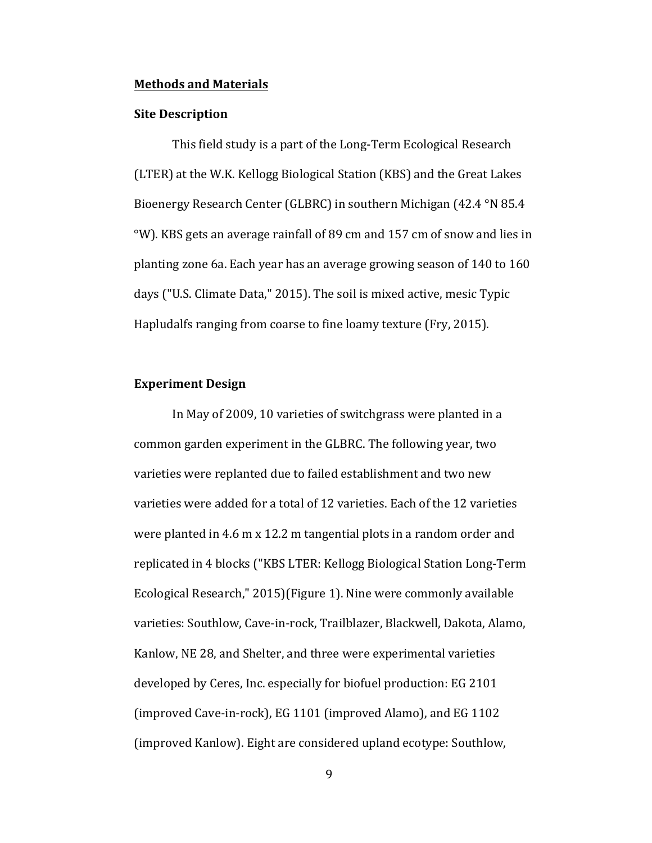#### **Methods and Materials**

#### **Site Description**

This field study is a part of the Long-Term Ecological Research (LTER) at the W.K. Kellogg Biological Station (KBS) and the Great Lakes Bioenergy Research Center (GLBRC) in southern Michigan (42.4 °N 85.4  $\degree$ W). KBS gets an average rainfall of 89 cm and 157 cm of snow and lies in planting zone 6a. Each year has an average growing season of  $140$  to  $160$ days ("U.S. Climate Data," 2015). The soil is mixed active, mesic Typic Hapludalfs ranging from coarse to fine loamy texture (Fry, 2015).

#### **Experiment Design**

In May of 2009, 10 varieties of switchgrass were planted in a common garden experiment in the GLBRC. The following year, two varieties were replanted due to failed establishment and two new varieties were added for a total of 12 varieties. Each of the 12 varieties were planted in 4.6 m  $x$  12.2 m tangential plots in a random order and replicated in 4 blocks ("KBS LTER: Kellogg Biological Station Long-Term Ecological Research," 2015)(Figure 1). Nine were commonly available varieties: Southlow, Cave-in-rock, Trailblazer, Blackwell, Dakota, Alamo, Kanlow, NE 28, and Shelter, and three were experimental varieties developed by Ceres, Inc. especially for biofuel production: EG 2101 (improved Cave-in-rock), EG 1101 (improved Alamo), and EG 1102 (improved Kanlow). Eight are considered upland ecotype: Southlow,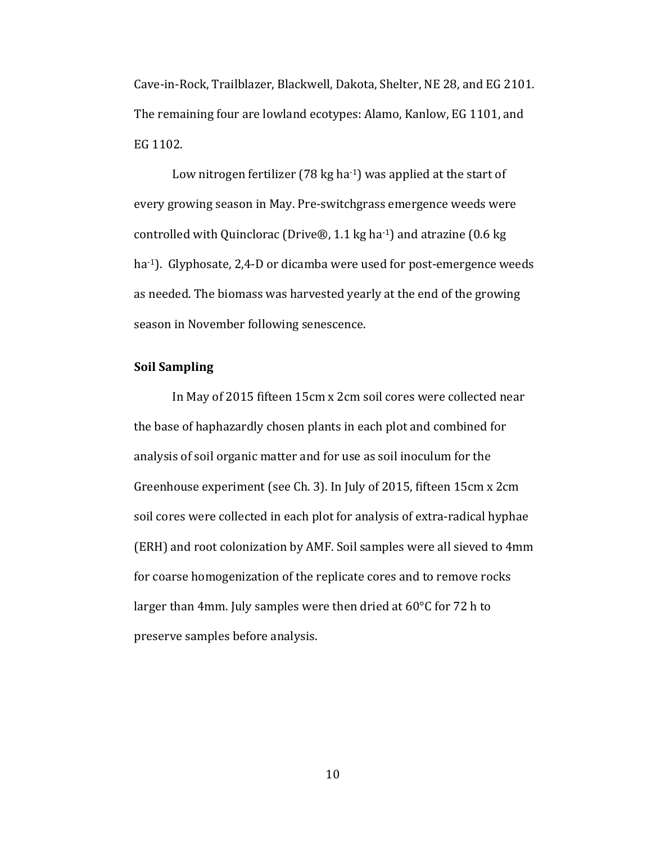Cave-in-Rock, Trailblazer, Blackwell, Dakota, Shelter, NE 28, and EG 2101. The remaining four are lowland ecotypes: Alamo, Kanlow, EG 1101, and EG 1102.

Low nitrogen fertilizer  $(78 \text{ kg ha-1})$  was applied at the start of every growing season in May. Pre-switchgrass emergence weeds were controlled with Quinclorac (Drive®, 1.1 kg ha-1) and atrazine  $(0.6 \text{ kg})$ ha<sup>-1</sup>). Glyphosate, 2,4-D or dicamba were used for post-emergence weeds as needed. The biomass was harvested yearly at the end of the growing season in November following senescence.

#### **Soil Sampling**

In May of 2015 fifteen 15cm x 2cm soil cores were collected near the base of haphazardly chosen plants in each plot and combined for analysis of soil organic matter and for use as soil inoculum for the Greenhouse experiment (see Ch. 3). In July of 2015, fifteen 15cm x 2cm soil cores were collected in each plot for analysis of extra-radical hyphae (ERH) and root colonization by AMF. Soil samples were all sieved to 4mm for coarse homogenization of the replicate cores and to remove rocks larger than 4mm. July samples were then dried at  $60^{\circ}$ C for 72 h to preserve samples before analysis.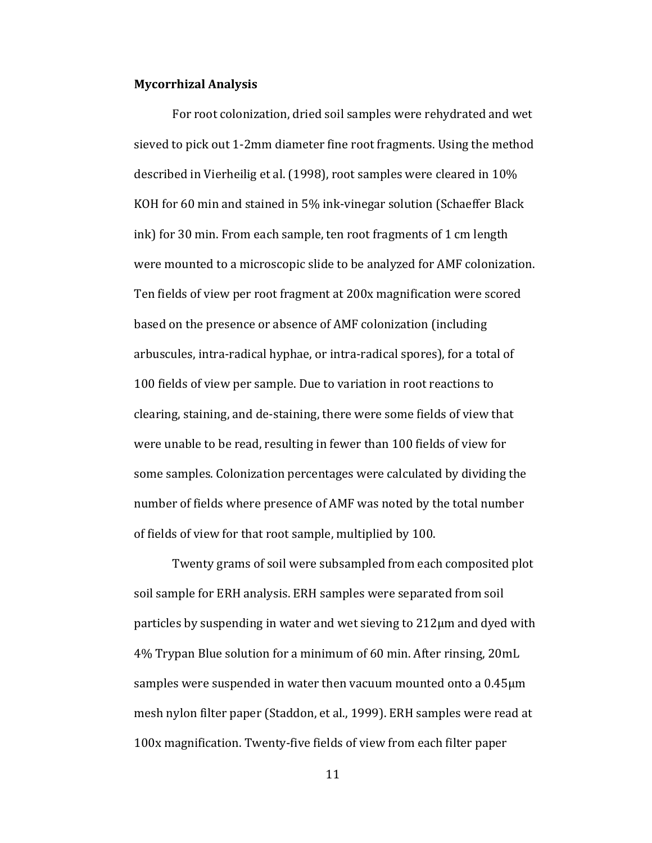#### **Mycorrhizal Analysis**

For root colonization, dried soil samples were rehydrated and wet sieved to pick out 1-2mm diameter fine root fragments. Using the method described in Vierheilig et al. (1998), root samples were cleared in 10% KOH for 60 min and stained in 5% ink-vinegar solution (Schaeffer Black ink) for 30 min. From each sample, ten root fragments of 1 cm length were mounted to a microscopic slide to be analyzed for AMF colonization. Ten fields of view per root fragment at 200x magnification were scored based on the presence or absence of AMF colonization (including arbuscules, intra-radical hyphae, or intra-radical spores), for a total of 100 fields of view per sample. Due to variation in root reactions to clearing, staining, and de-staining, there were some fields of view that were unable to be read, resulting in fewer than 100 fields of view for some samples. Colonization percentages were calculated by dividing the number of fields where presence of AMF was noted by the total number of fields of view for that root sample, multiplied by 100.

Twenty grams of soil were subsampled from each composited plot soil sample for ERH analysis. ERH samples were separated from soil particles by suspending in water and wet sieving to  $212\mu$ m and dyed with 4% Trypan Blue solution for a minimum of 60 min. After rinsing, 20mL samples were suspended in water then vacuum mounted onto a  $0.45\mu m$ mesh nylon filter paper (Staddon, et al., 1999). ERH samples were read at 100x magnification. Twenty-five fields of view from each filter paper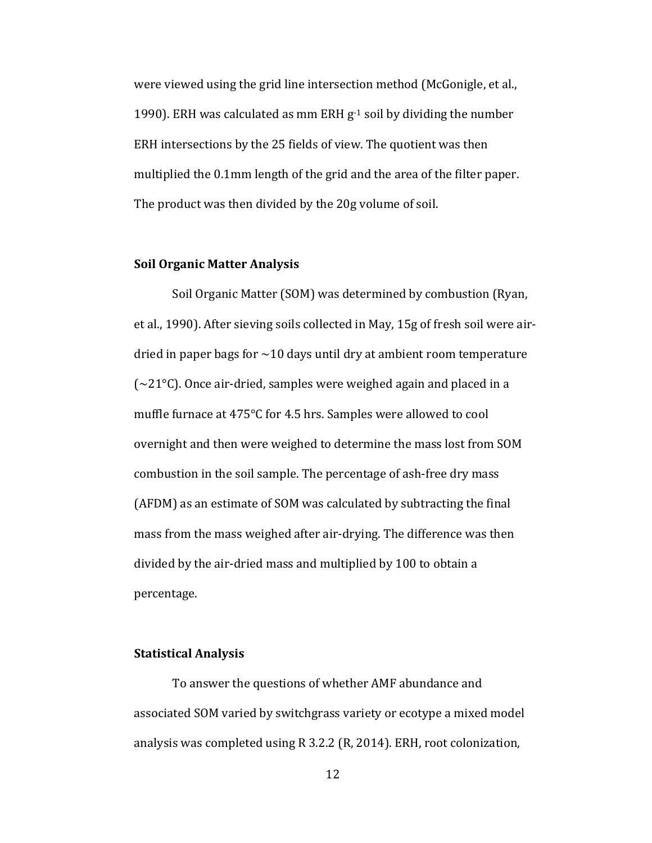were viewed using the grid line intersection method (McGonigle, et al., 1990). ERH was calculated as mm ERH  $g<sup>-1</sup>$  soil by dividing the number ERH intersections by the 25 fields of view. The quotient was then multiplied the 0.1mm length of the grid and the area of the filter paper. The product was then divided by the 20g volume of soil.

#### **Soil Organic Matter Analysis**

Soil Organic Matter (SOM) was determined by combustion (Ryan, et al., 1990). After sieving soils collected in May, 15g of fresh soil were airdried in paper bags for  $\sim$ 10 days until dry at ambient room temperature  $\sim$  21 $\degree$ C). Once air-dried, samples were weighed again and placed in a muffle furnace at  $475^{\circ}$ C for 4.5 hrs. Samples were allowed to cool overnight and then were weighed to determine the mass lost from SOM combustion in the soil sample. The percentage of ash-free dry mass (AFDM) as an estimate of SOM was calculated by subtracting the final mass from the mass weighed after air-drying. The difference was then divided by the air-dried mass and multiplied by 100 to obtain a percentage. 

#### **Statistical Analysis**

To answer the questions of whether AMF abundance and associated SOM varied by switchgrass variety or ecotype a mixed model analysis was completed using  $R$  3.2.2 ( $R$ , 2014). ERH, root colonization,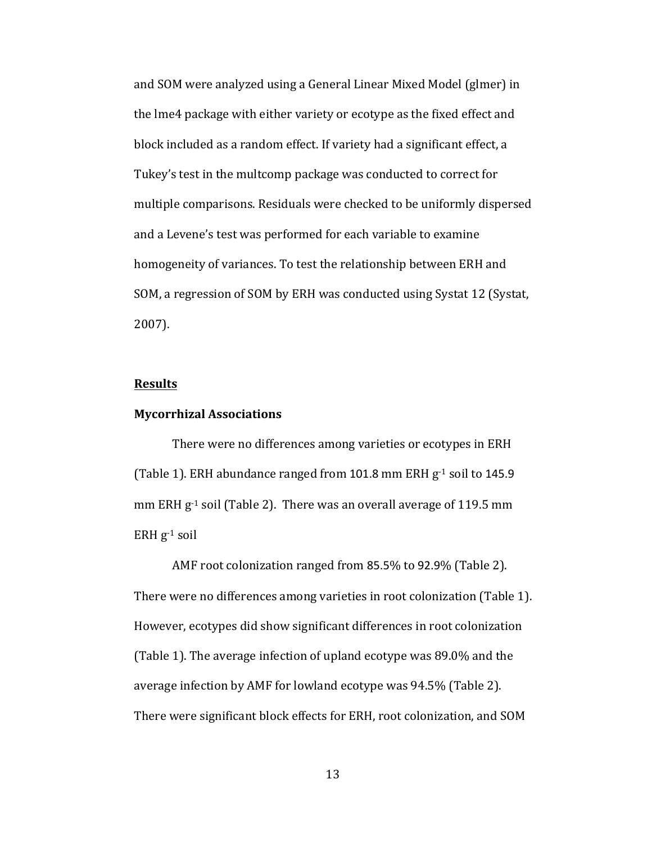and SOM were analyzed using a General Linear Mixed Model (glmer) in the lme4 package with either variety or ecotype as the fixed effect and block included as a random effect. If variety had a significant effect, a Tukey's test in the multcomp package was conducted to correct for multiple comparisons. Residuals were checked to be uniformly dispersed and a Levene's test was performed for each variable to examine homogeneity of variances. To test the relationship between ERH and SOM, a regression of SOM by ERH was conducted using Systat 12 (Systat, 2007).

#### **Results**

#### **Mycorrhizal Associations**

There were no differences among varieties or ecotypes in ERH (Table 1). ERH abundance ranged from 101.8 mm ERH  $g^{-1}$  soil to 145.9 mm ERH  $g^{-1}$  soil (Table 2). There was an overall average of 119.5 mm ERH  $g^{-1}$  soil

AMF root colonization ranged from 85.5% to 92.9% (Table 2). There were no differences among varieties in root colonization (Table 1). However, ecotypes did show significant differences in root colonization (Table 1). The average infection of upland ecotype was  $89.0\%$  and the average infection by AMF for lowland ecotype was  $94.5\%$  (Table 2). There were significant block effects for ERH, root colonization, and SOM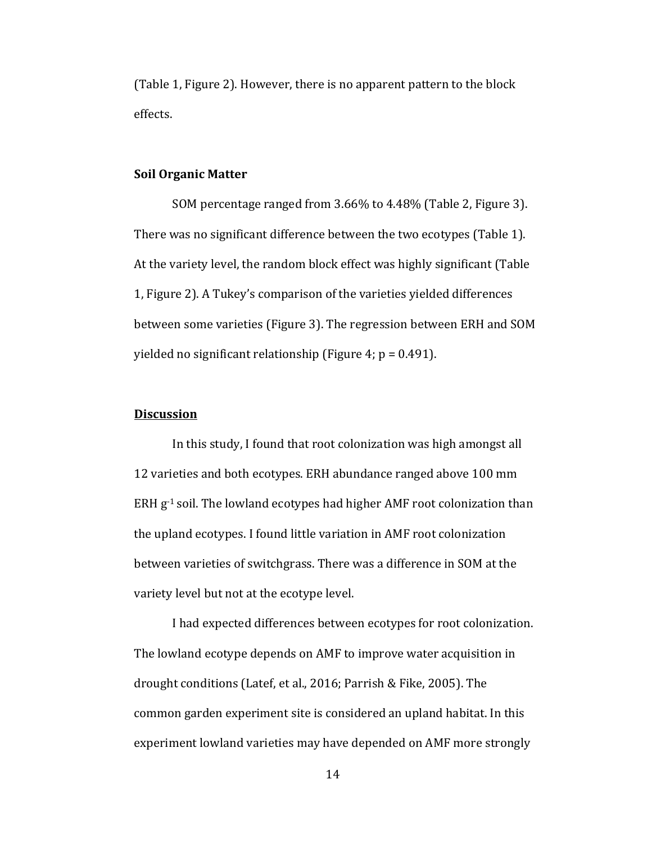(Table 1, Figure 2). However, there is no apparent pattern to the block effects. 

#### **Soil Organic Matter**

SOM percentage ranged from 3.66% to 4.48% (Table 2, Figure 3). There was no significant difference between the two ecotypes (Table 1). At the variety level, the random block effect was highly significant (Table 1, Figure 2). A Tukey's comparison of the varieties yielded differences between some varieties (Figure 3). The regression between ERH and SOM yielded no significant relationship (Figure 4;  $p = 0.491$ ).

#### **Discussion**

In this study, I found that root colonization was high amongst all 12 varieties and both ecotypes. ERH abundance ranged above 100 mm ERH  $g^{-1}$  soil. The lowland ecotypes had higher AMF root colonization than the upland ecotypes. I found little variation in AMF root colonization between varieties of switchgrass. There was a difference in SOM at the variety level but not at the ecotype level.

I had expected differences between ecotypes for root colonization. The lowland ecotype depends on AMF to improve water acquisition in drought conditions (Latef, et al., 2016; Parrish & Fike, 2005). The common garden experiment site is considered an upland habitat. In this experiment lowland varieties may have depended on AMF more strongly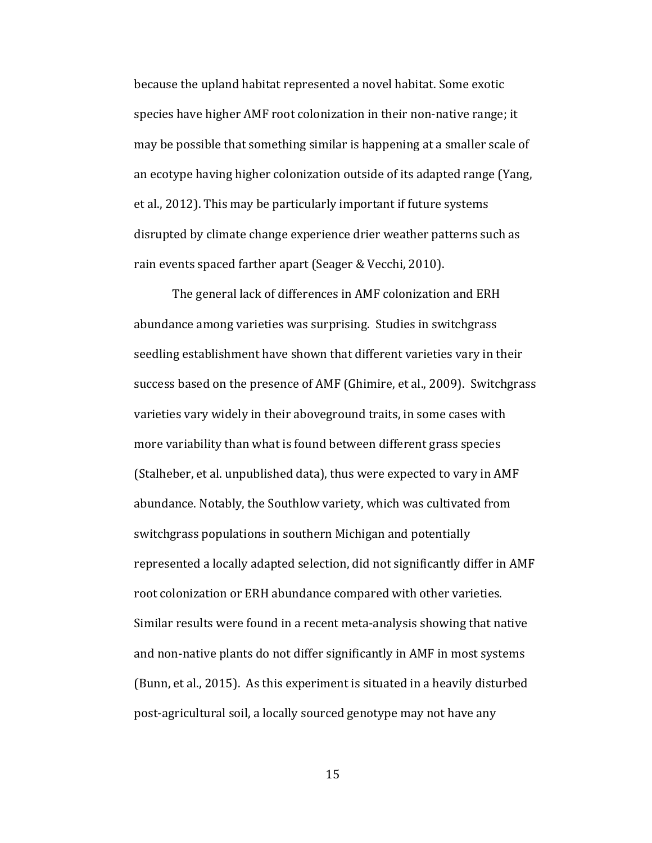because the upland habitat represented a novel habitat. Some exotic species have higher AMF root colonization in their non-native range; it may be possible that something similar is happening at a smaller scale of an ecotype having higher colonization outside of its adapted range (Yang, et al., 2012). This may be particularly important if future systems disrupted by climate change experience drier weather patterns such as rain events spaced farther apart (Seager & Vecchi, 2010).

The general lack of differences in AMF colonization and ERH abundance among varieties was surprising. Studies in switchgrass seedling establishment have shown that different varieties vary in their success based on the presence of AMF (Ghimire, et al., 2009). Switchgrass varieties vary widely in their aboveground traits, in some cases with more variability than what is found between different grass species (Stalheber, et al. unpublished data), thus were expected to vary in AMF abundance. Notably, the Southlow variety, which was cultivated from switchgrass populations in southern Michigan and potentially represented a locally adapted selection, did not significantly differ in AMF root colonization or ERH abundance compared with other varieties. Similar results were found in a recent meta-analysis showing that native and non-native plants do not differ significantly in AMF in most systems (Bunn, et al., 2015). As this experiment is situated in a heavily disturbed post-agricultural soil, a locally sourced genotype may not have any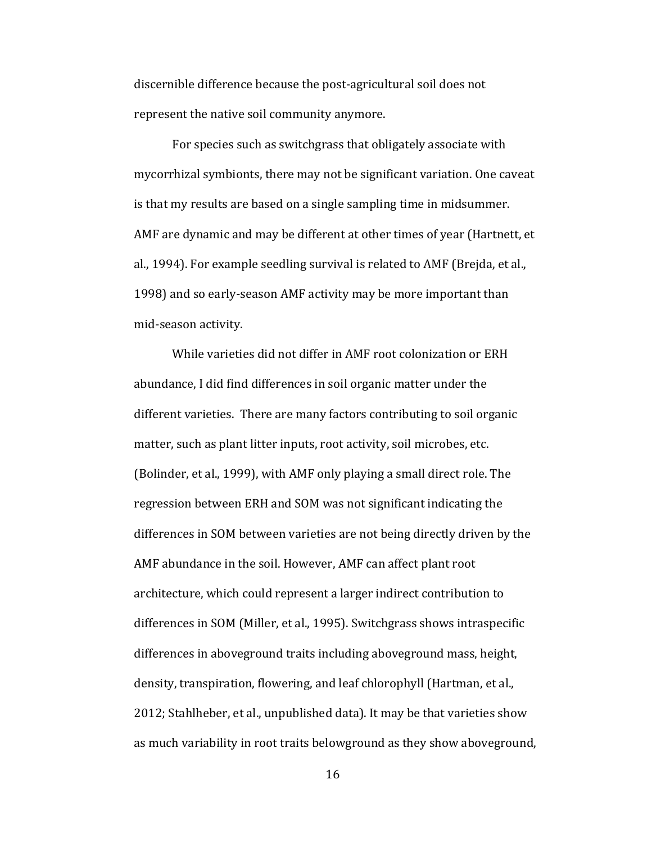discernible difference because the post-agricultural soil does not represent the native soil community anymore.

For species such as switchgrass that obligately associate with mycorrhizal symbionts, there may not be significant variation. One caveat is that my results are based on a single sampling time in midsummer. AMF are dynamic and may be different at other times of year (Hartnett, et al., 1994). For example seedling survival is related to AMF (Brejda, et al., 1998) and so early-season AMF activity may be more important than mid-season activity.

While varieties did not differ in AMF root colonization or ERH abundance, I did find differences in soil organic matter under the different varieties. There are many factors contributing to soil organic matter, such as plant litter inputs, root activity, soil microbes, etc. (Bolinder, et al., 1999), with AMF only playing a small direct role. The regression between ERH and SOM was not significant indicating the differences in SOM between varieties are not being directly driven by the AMF abundance in the soil. However, AMF can affect plant root architecture, which could represent a larger indirect contribution to differences in SOM (Miller, et al., 1995). Switchgrass shows intraspecific differences in aboveground traits including aboveground mass, height, density, transpiration, flowering, and leaf chlorophyll (Hartman, et al., 2012; Stahlheber, et al., unpublished data). It may be that varieties show as much variability in root traits belowground as they show aboveground,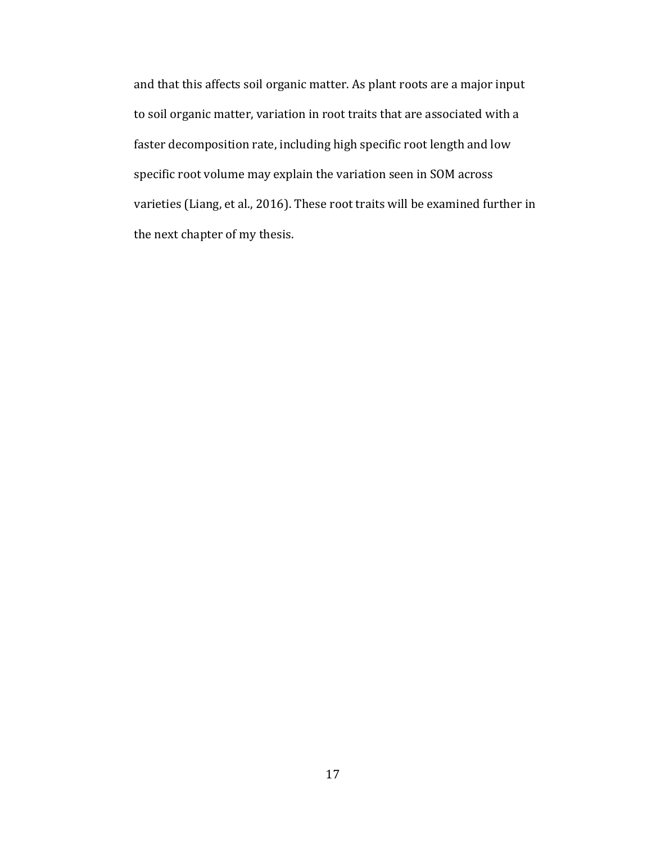and that this affects soil organic matter. As plant roots are a major input to soil organic matter, variation in root traits that are associated with a faster decomposition rate, including high specific root length and low specific root volume may explain the variation seen in SOM across varieties (Liang, et al., 2016). These root traits will be examined further in the next chapter of my thesis.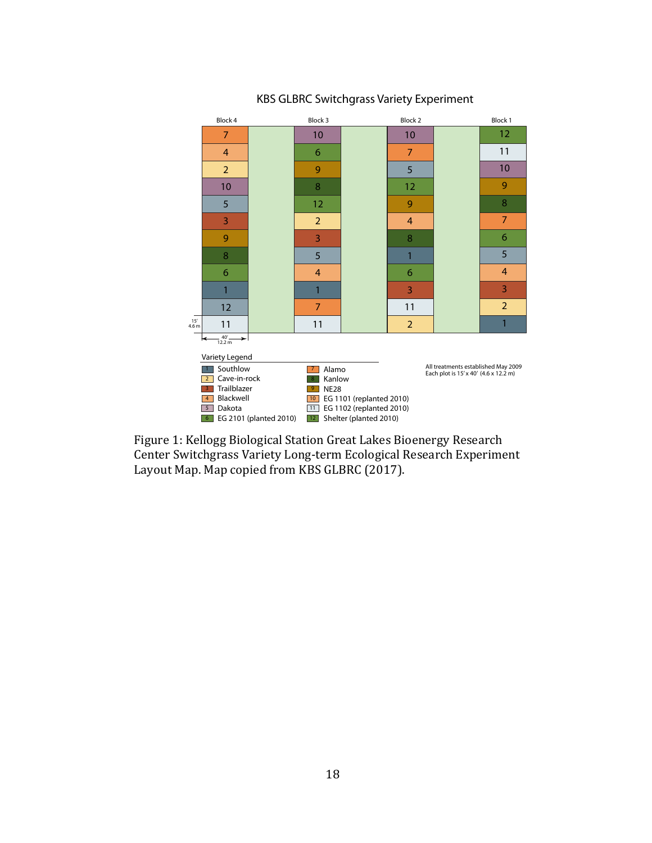

#### KBS GLBRC Switchgrass Variety Experiment

Figure 1: Kellogg Biological Station Great Lakes Bioenergy Research Center Switchgrass Variety Long-term Ecological Research Experiment Layout Map. Map copied from KBS GLBRC (2017).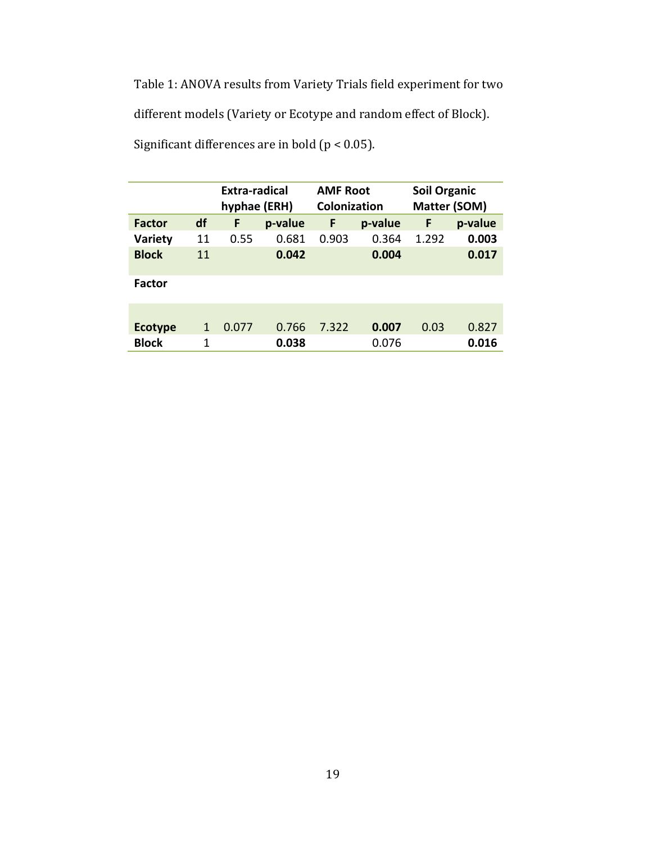Table 1: ANOVA results from Variety Trials field experiment for two different models (Variety or Ecotype and random effect of Block). Significant differences are in bold ( $p < 0.05$ ).

|                |    | Extra-radical<br>hyphae (ERH) |         | <b>AMF Root</b><br>Colonization |         | <b>Soil Organic</b><br>Matter (SOM) |         |
|----------------|----|-------------------------------|---------|---------------------------------|---------|-------------------------------------|---------|
| <b>Factor</b>  | df | F                             | p-value | F                               | p-value | F                                   | p-value |
| <b>Variety</b> | 11 | 0.55                          | 0.681   | 0.903                           | 0.364   | 1.292                               | 0.003   |
| <b>Block</b>   | 11 |                               | 0.042   |                                 | 0.004   |                                     | 0.017   |
| <b>Factor</b>  |    |                               |         |                                 |         |                                     |         |
|                |    |                               |         |                                 |         |                                     |         |
| <b>Ecotype</b> | 1  | 0.077                         | 0.766   | 7.322                           | 0.007   | 0.03                                | 0.827   |
| <b>Block</b>   | 1  |                               | 0.038   |                                 | 0.076   |                                     | 0.016   |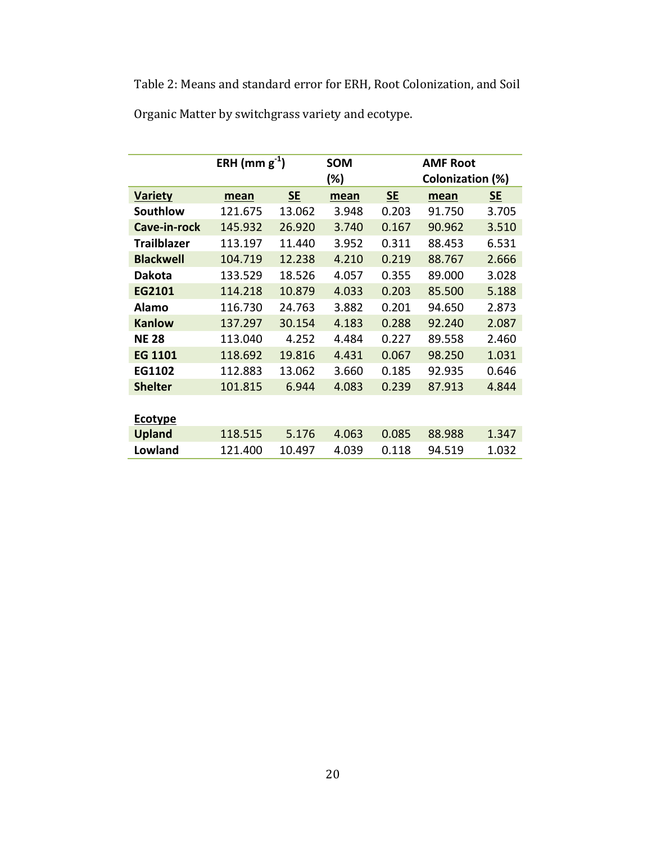Table 2: Means and standard error for ERH, Root Colonization, and Soil Organic Matter by switchgrass variety and ecotype.

|                    | ERH (mm $g^{-1}$ ) |           | <b>SOM</b> |           | <b>AMF Root</b>  |       |  |
|--------------------|--------------------|-----------|------------|-----------|------------------|-------|--|
|                    |                    | (%)       |            |           | Colonization (%) |       |  |
| <b>Variety</b>     | mean               | <b>SE</b> | mean       | <b>SE</b> | <b>SE</b>        |       |  |
| <b>Southlow</b>    | 121.675            | 13.062    | 3.948      | 0.203     | 91.750           | 3.705 |  |
| Cave-in-rock       | 145.932            | 26.920    | 3.740      | 0.167     | 90.962           | 3.510 |  |
| <b>Trailblazer</b> | 113.197            | 11.440    | 3.952      | 0.311     | 88.453           | 6.531 |  |
| <b>Blackwell</b>   | 104.719            | 12.238    | 4.210      | 0.219     | 88.767           | 2.666 |  |
| <b>Dakota</b>      | 133.529            | 18.526    | 4.057      | 0.355     | 89.000           | 3.028 |  |
| EG2101             | 114.218            | 10.879    | 4.033      | 0.203     | 85.500           | 5.188 |  |
| <b>Alamo</b>       | 116.730            | 24.763    | 3.882      | 0.201     | 94.650           | 2.873 |  |
| <b>Kanlow</b>      | 137.297            | 30.154    | 4.183      | 0.288     | 92.240           | 2.087 |  |
| <b>NE 28</b>       | 113.040            | 4.252     | 4.484      | 0.227     | 89.558           | 2.460 |  |
| <b>EG 1101</b>     | 118.692            | 19.816    | 4.431      | 0.067     | 98.250           | 1.031 |  |
| EG1102             | 112.883            | 13.062    | 3.660      | 0.185     | 92.935           | 0.646 |  |
| <b>Shelter</b>     | 101.815            | 6.944     | 4.083      | 0.239     | 87.913           | 4.844 |  |
|                    |                    |           |            |           |                  |       |  |
| <b>Ecotype</b>     |                    |           |            |           |                  |       |  |
| <b>Upland</b>      | 118.515            | 5.176     | 4.063      | 0.085     | 88.988           | 1.347 |  |
| Lowland            | 121.400            | 10.497    | 4.039      | 0.118     | 94.519           | 1.032 |  |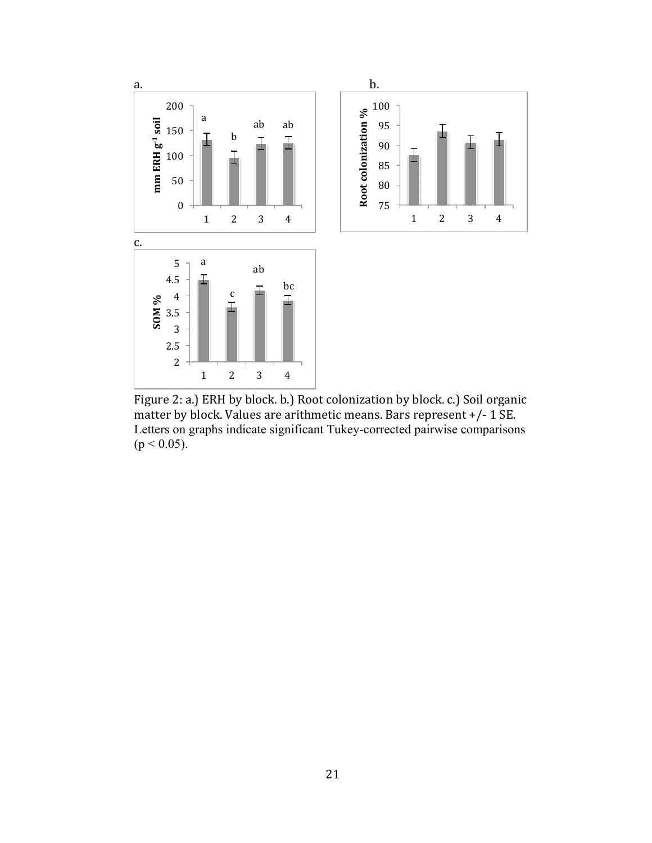

Figure 2: a.) ERH by block. b.) Root colonization by block. c.) Soil organic matter by block. Values are arithmetic means. Bars represent  $+/-1$  SE. Letters on graphs indicate significant Tukey-corrected pairwise comparisons  $(p < 0.05)$ .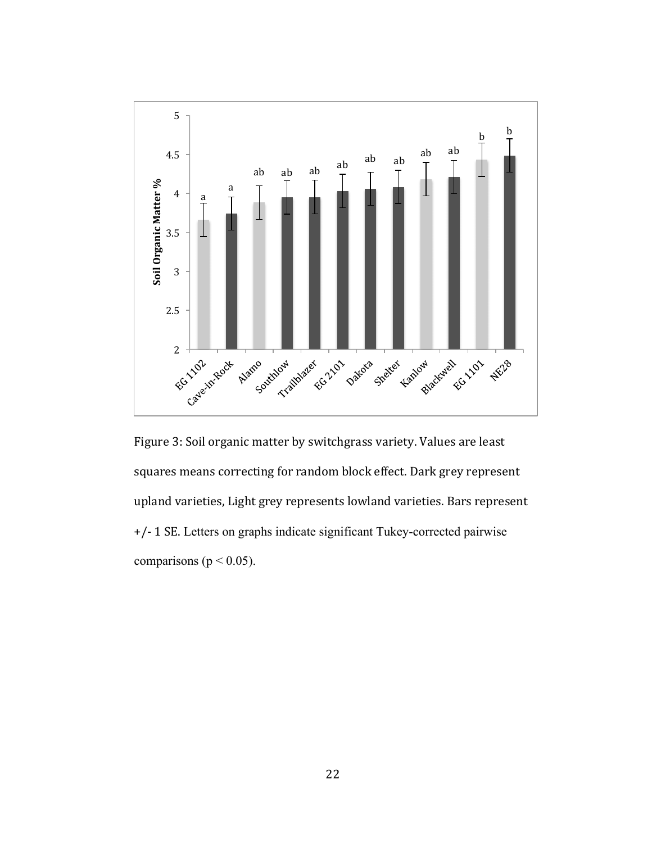

Figure 3: Soil organic matter by switchgrass variety. Values are least squares means correcting for random block effect. Dark grey represent upland varieties, Light grey represents lowland varieties. Bars represent +/- 1 SE. Letters on graphs indicate significant Tukey-corrected pairwise comparisons ( $p < 0.05$ ).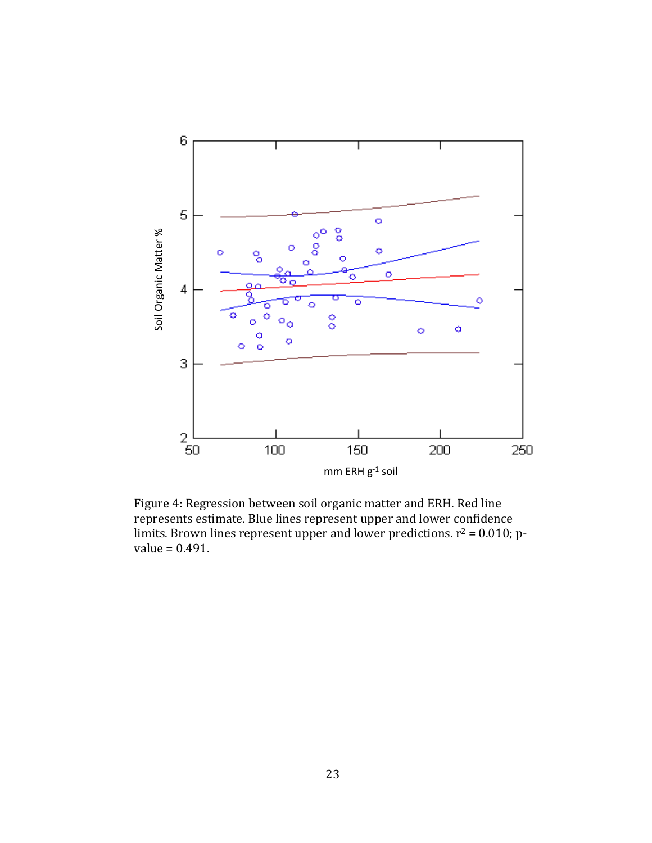

Figure 4: Regression between soil organic matter and ERH. Red line represents estimate. Blue lines represent upper and lower confidence limits. Brown lines represent upper and lower predictions.  $r^2 = 0.010$ ; p-value = 0.491.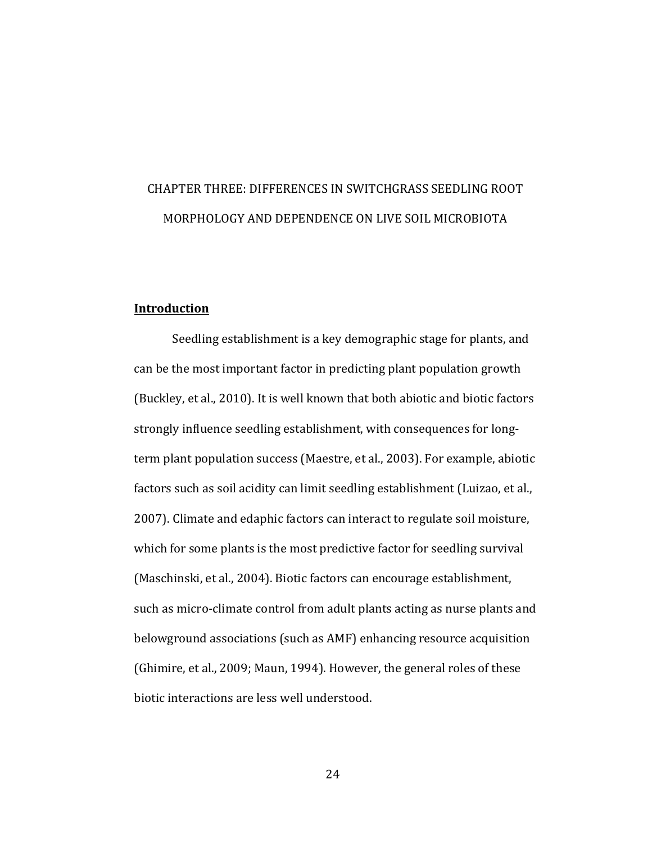## CHAPTER THREE: DIFFERENCES IN SWITCHGRASS SEEDLING ROOT MORPHOLOGY AND DEPENDENCE ON LIVE SOIL MICROBIOTA

#### **Introduction**

Seedling establishment is a key demographic stage for plants, and can be the most important factor in predicting plant population growth (Buckley, et al., 2010). It is well known that both abiotic and biotic factors strongly influence seedling establishment, with consequences for longterm plant population success (Maestre, et al., 2003). For example, abiotic factors such as soil acidity can limit seedling establishment (Luizao, et al., 2007). Climate and edaphic factors can interact to regulate soil moisture, which for some plants is the most predictive factor for seedling survival (Maschinski, et al., 2004). Biotic factors can encourage establishment, such as micro-climate control from adult plants acting as nurse plants and belowground associations (such as AMF) enhancing resource acquisition (Ghimire, et al., 2009; Maun, 1994). However, the general roles of these biotic interactions are less well understood.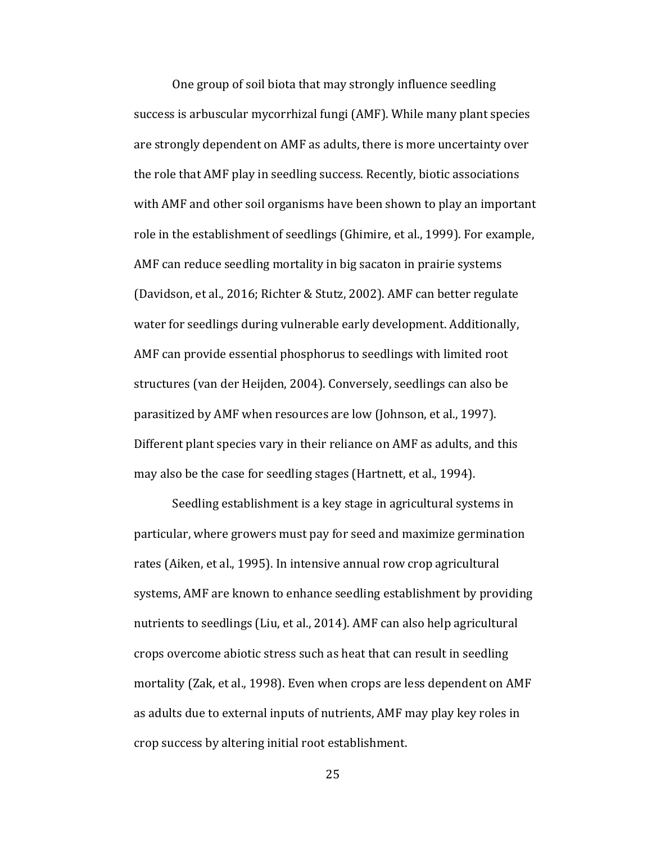One group of soil biota that may strongly influence seedling success is arbuscular mycorrhizal fungi (AMF). While many plant species are strongly dependent on AMF as adults, there is more uncertainty over the role that AMF play in seedling success. Recently, biotic associations with AMF and other soil organisms have been shown to play an important role in the establishment of seedlings (Ghimire, et al., 1999). For example, AMF can reduce seedling mortality in big sacaton in prairie systems (Davidson, et al., 2016; Richter & Stutz, 2002). AMF can better regulate water for seedlings during vulnerable early development. Additionally, AMF can provide essential phosphorus to seedlings with limited root structures (van der Heijden, 2004). Conversely, seedlings can also be parasitized by AMF when resources are low (Johnson, et al., 1997). Different plant species vary in their reliance on AMF as adults, and this may also be the case for seedling stages (Hartnett, et al., 1994).

Seedling establishment is a key stage in agricultural systems in particular, where growers must pay for seed and maximize germination rates (Aiken, et al., 1995). In intensive annual row crop agricultural systems, AMF are known to enhance seedling establishment by providing nutrients to seedlings (Liu, et al., 2014). AMF can also help agricultural crops overcome abiotic stress such as heat that can result in seedling mortality (Zak, et al., 1998). Even when crops are less dependent on AMF as adults due to external inputs of nutrients, AMF may play key roles in crop success by altering initial root establishment.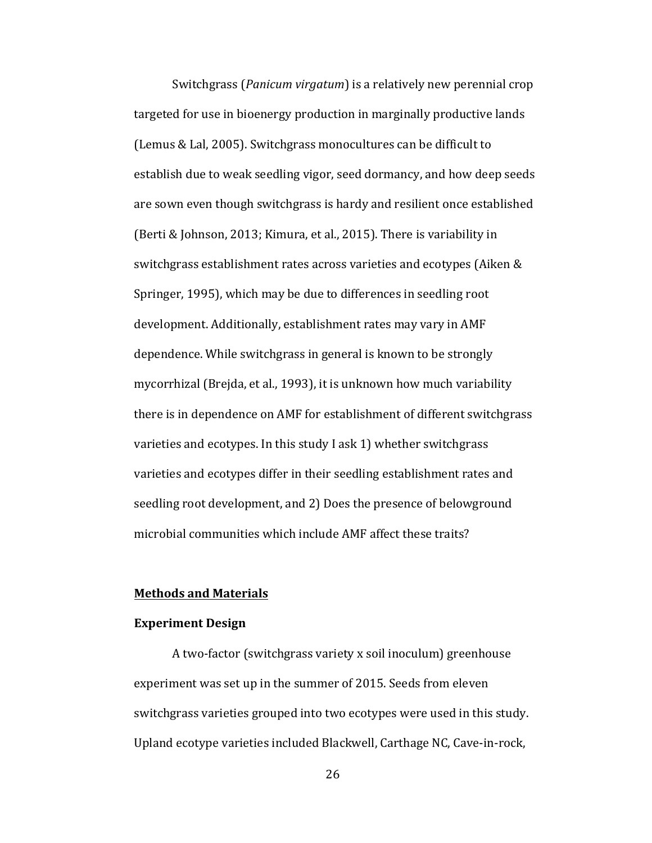Switchgrass (*Panicum virgatum*) is a relatively new perennial crop targeted for use in bioenergy production in marginally productive lands (Lemus & Lal, 2005). Switchgrass monocultures can be difficult to establish due to weak seedling vigor, seed dormancy, and how deep seeds are sown even though switchgrass is hardy and resilient once established (Berti & Johnson, 2013; Kimura, et al., 2015). There is variability in switchgrass establishment rates across varieties and ecotypes (Aiken & Springer, 1995), which may be due to differences in seedling root development. Additionally, establishment rates may vary in AMF dependence. While switchgrass in general is known to be strongly mycorrhizal (Brejda, et al., 1993), it is unknown how much variability there is in dependence on AMF for establishment of different switchgrass varieties and ecotypes. In this study I ask 1) whether switchgrass varieties and ecotypes differ in their seedling establishment rates and seedling root development, and 2) Does the presence of belowground microbial communities which include AMF affect these traits?

#### **Methods and Materials**

#### **Experiment Design**

A two-factor (switchgrass variety x soil inoculum) greenhouse experiment was set up in the summer of 2015. Seeds from eleven switchgrass varieties grouped into two ecotypes were used in this study. Upland ecotype varieties included Blackwell, Carthage NC, Cave-in-rock,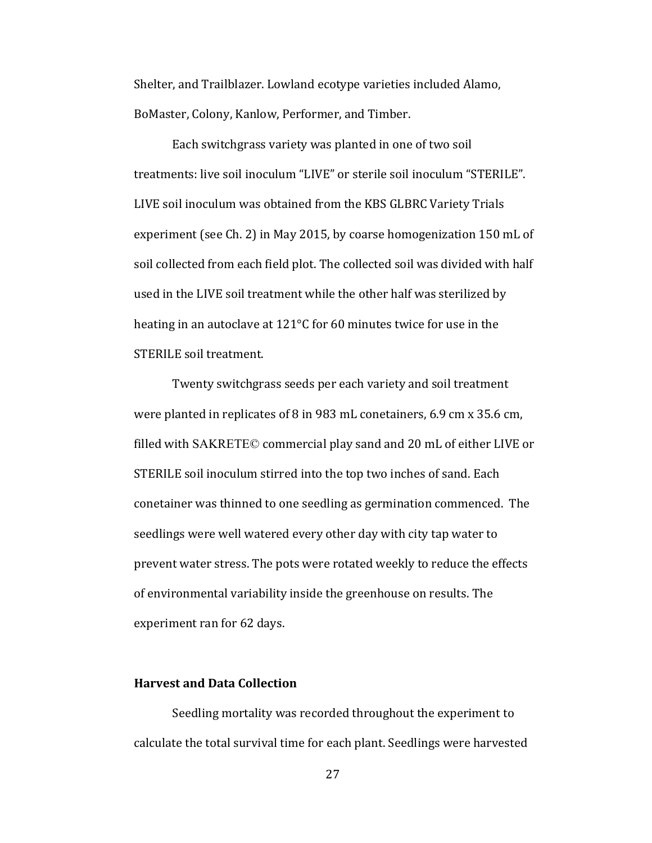Shelter, and Trailblazer. Lowland ecotype varieties included Alamo, BoMaster, Colony, Kanlow, Performer, and Timber.

Each switchgrass variety was planted in one of two soil treatments: live soil inoculum "LIVE" or sterile soil inoculum "STERILE". LIVE soil inoculum was obtained from the KBS GLBRC Variety Trials experiment (see Ch. 2) in May 2015, by coarse homogenization 150 mL of soil collected from each field plot. The collected soil was divided with half used in the LIVE soil treatment while the other half was sterilized by heating in an autoclave at  $121^{\circ}$ C for 60 minutes twice for use in the STERILE soil treatment.

Twenty switchgrass seeds per each variety and soil treatment were planted in replicates of 8 in 983 mL conetainers,  $6.9 \text{ cm} \times 35.6 \text{ cm}$ , filled with  $SAKREFE@$  commercial play sand and 20 mL of either LIVE or STERILE soil inoculum stirred into the top two inches of sand. Each conetainer was thinned to one seedling as germination commenced. The seedlings were well watered every other day with city tap water to prevent water stress. The pots were rotated weekly to reduce the effects of environmental variability inside the greenhouse on results. The experiment ran for 62 days.

#### **Harvest and Data Collection**

Seedling mortality was recorded throughout the experiment to calculate the total survival time for each plant. Seedlings were harvested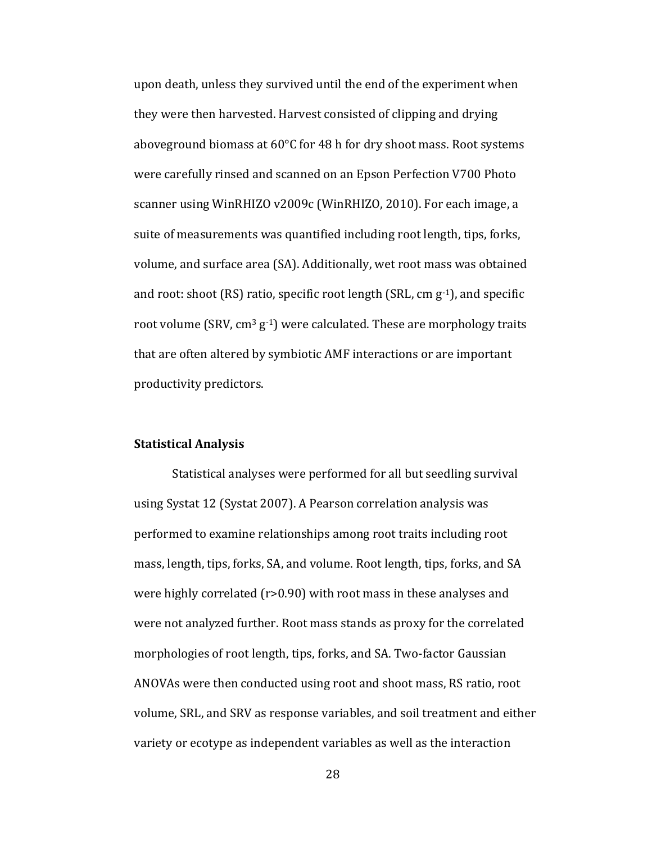upon death, unless they survived until the end of the experiment when they were then harvested. Harvest consisted of clipping and drying aboveground biomass at  $60^{\circ}$ C for 48 h for dry shoot mass. Root systems were carefully rinsed and scanned on an Epson Perfection V700 Photo scanner using WinRHIZO v2009c (WinRHIZO, 2010). For each image, a suite of measurements was quantified including root length, tips, forks, volume, and surface area (SA). Additionally, wet root mass was obtained and root: shoot  $(RS)$  ratio, specific root length  $(SRL, cm g^{-1})$ , and specific root volume  $(SRV, cm<sup>3</sup> g<sup>-1</sup>)$  were calculated. These are morphology traits that are often altered by symbiotic AMF interactions or are important productivity predictors.

#### **Statistical Analysis**

Statistical analyses were performed for all but seedling survival using Systat 12 (Systat 2007). A Pearson correlation analysis was performed to examine relationships among root traits including root mass, length, tips, forks, SA, and volume. Root length, tips, forks, and SA were highly correlated  $(r>0.90)$  with root mass in these analyses and were not analyzed further. Root mass stands as proxy for the correlated morphologies of root length, tips, forks, and SA. Two-factor Gaussian ANOVAs were then conducted using root and shoot mass, RS ratio, root volume, SRL, and SRV as response variables, and soil treatment and either variety or ecotype as independent variables as well as the interaction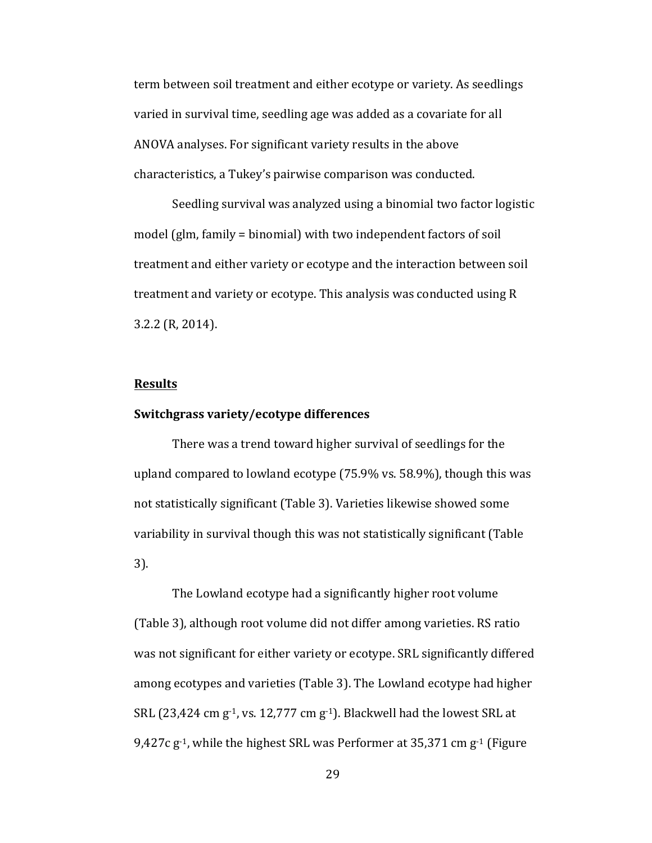term between soil treatment and either ecotype or variety. As seedlings varied in survival time, seedling age was added as a covariate for all ANOVA analyses. For significant variety results in the above characteristics, a Tukey's pairwise comparison was conducted.

Seedling survival was analyzed using a binomial two factor logistic model  $\left(\frac{g}{m}\right)$ , family = binomial) with two independent factors of soil treatment and either variety or ecotype and the interaction between soil treatment and variety or ecotype. This analysis was conducted using R 3.2.2 (R, 2014). 

#### **Results**

#### **Switchgrass variety/ecotype differences**

There was a trend toward higher survival of seedlings for the upland compared to lowland ecotype (75.9% vs. 58.9%), though this was not statistically significant (Table 3). Varieties likewise showed some variability in survival though this was not statistically significant (Table 3). 

The Lowland ecotype had a significantly higher root volume (Table 3), although root volume did not differ among varieties. RS ratio was not significant for either variety or ecotype. SRL significantly differed among ecotypes and varieties (Table 3). The Lowland ecotype had higher SRL (23,424 cm  $g^{-1}$ , vs. 12,777 cm  $g^{-1}$ ). Blackwell had the lowest SRL at 9,427c  $g^{-1}$ , while the highest SRL was Performer at 35,371 cm  $g^{-1}$  (Figure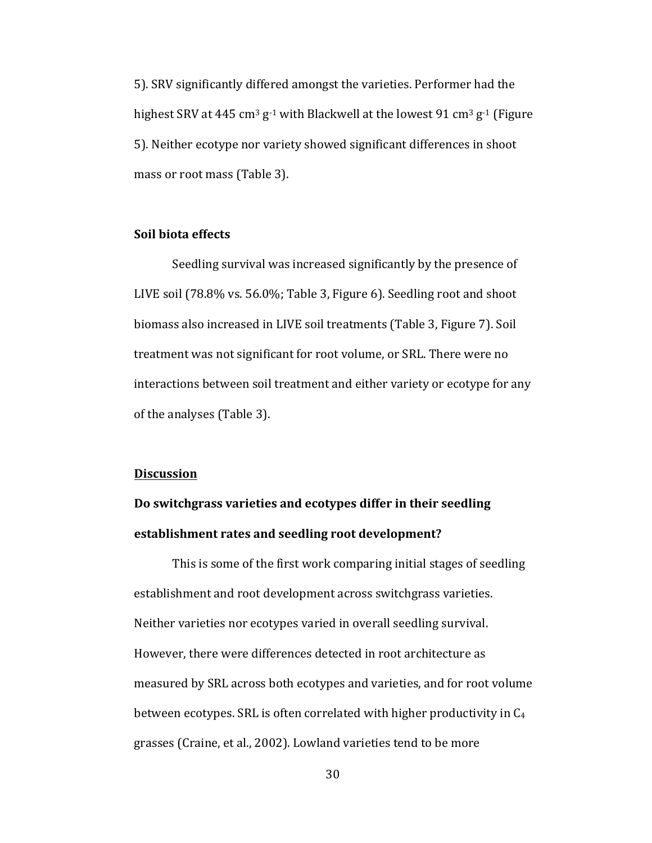5). SRV significantly differed amongst the varieties. Performer had the highest SRV at 445 cm<sup>3</sup> g<sup>-1</sup> with Blackwell at the lowest 91 cm<sup>3</sup> g<sup>-1</sup> (Figure 5). Neither ecotype nor variety showed significant differences in shoot mass or root mass (Table 3).

#### **Soil biota effects**

Seedling survival was increased significantly by the presence of LIVE soil  $(78.8\% \text{ vs. } 56.0\%; \text{Table 3}, \text{ Figure 6}).$  Seedling root and shoot biomass also increased in LIVE soil treatments (Table 3, Figure 7). Soil treatment was not significant for root volume, or SRL. There were no interactions between soil treatment and either variety or ecotype for any of the analyses (Table 3).

#### **Discussion**

## Do switchgrass varieties and ecotypes differ in their seedling establishment rates and seedling root development?

This is some of the first work comparing initial stages of seedling establishment and root development across switchgrass varieties. Neither varieties nor ecotypes varied in overall seedling survival. However, there were differences detected in root architecture as measured by SRL across both ecotypes and varieties, and for root volume between ecotypes. SRL is often correlated with higher productivity in  $C_4$ grasses (Craine, et al., 2002). Lowland varieties tend to be more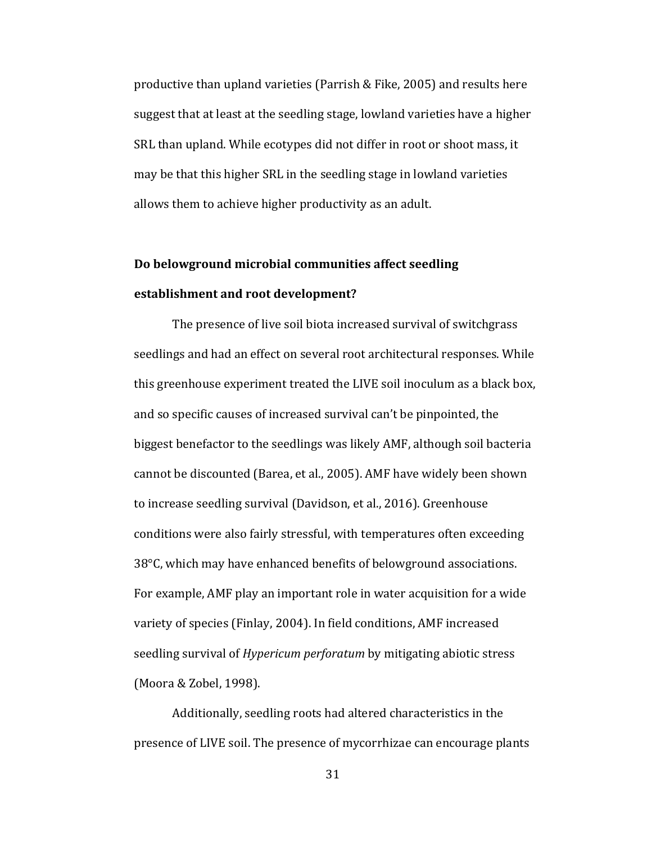productive than upland varieties (Parrish & Fike, 2005) and results here suggest that at least at the seedling stage, lowland varieties have a higher SRL than upland. While ecotypes did not differ in root or shoot mass, it may be that this higher SRL in the seedling stage in lowland varieties allows them to achieve higher productivity as an adult.

## Do belowground microbial communities affect seedling **establishment and root development?**

The presence of live soil biota increased survival of switchgrass seedlings and had an effect on several root architectural responses. While this greenhouse experiment treated the LIVE soil inoculum as a black box, and so specific causes of increased survival can't be pinpointed, the biggest benefactor to the seedlings was likely AMF, although soil bacteria cannot be discounted (Barea, et al., 2005). AMF have widely been shown to increase seedling survival (Davidson, et al., 2016). Greenhouse conditions were also fairly stressful, with temperatures often exceeding  $38^{\circ}$ C, which may have enhanced benefits of belowground associations. For example, AMF play an important role in water acquisition for a wide variety of species (Finlay, 2004). In field conditions, AMF increased seedling survival of *Hypericum perforatum* by mitigating abiotic stress (Moora & Zobel, 1998).

Additionally, seedling roots had altered characteristics in the presence of LIVE soil. The presence of mycorrhizae can encourage plants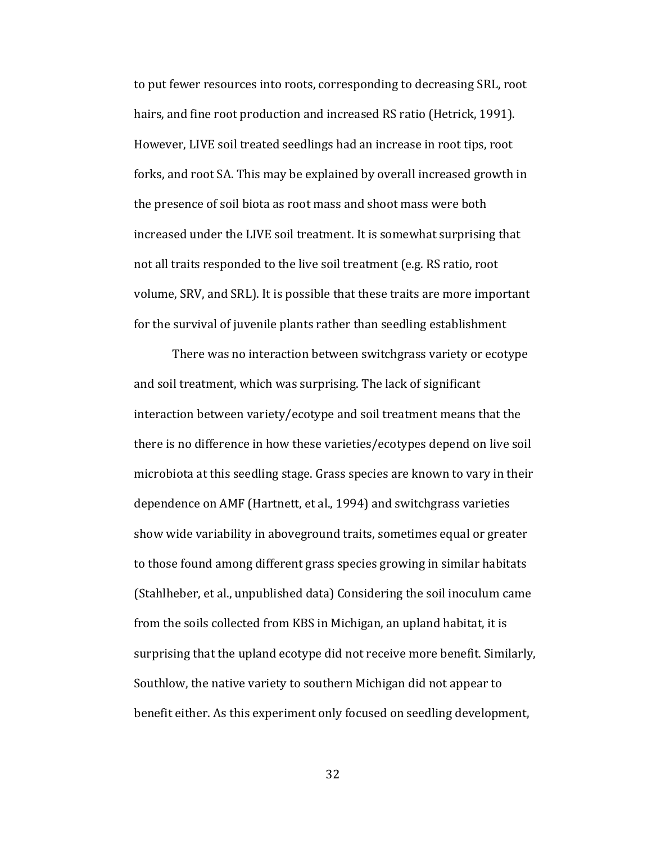to put fewer resources into roots, corresponding to decreasing SRL, root hairs, and fine root production and increased RS ratio (Hetrick, 1991). However, LIVE soil treated seedlings had an increase in root tips, root forks, and root SA. This may be explained by overall increased growth in the presence of soil biota as root mass and shoot mass were both increased under the LIVE soil treatment. It is somewhat surprising that not all traits responded to the live soil treatment (e.g. RS ratio, root volume, SRV, and SRL). It is possible that these traits are more important for the survival of juvenile plants rather than seedling establishment

There was no interaction between switchgrass variety or ecotype and soil treatment, which was surprising. The lack of significant interaction between variety/ecotype and soil treatment means that the there is no difference in how these varieties/ecotypes depend on live soil microbiota at this seedling stage. Grass species are known to vary in their dependence on AMF (Hartnett, et al., 1994) and switchgrass varieties show wide variability in aboveground traits, sometimes equal or greater to those found among different grass species growing in similar habitats (Stahlheber, et al., unpublished data) Considering the soil inoculum came from the soils collected from KBS in Michigan, an upland habitat, it is surprising that the upland ecotype did not receive more benefit. Similarly, Southlow, the native variety to southern Michigan did not appear to benefit either. As this experiment only focused on seedling development,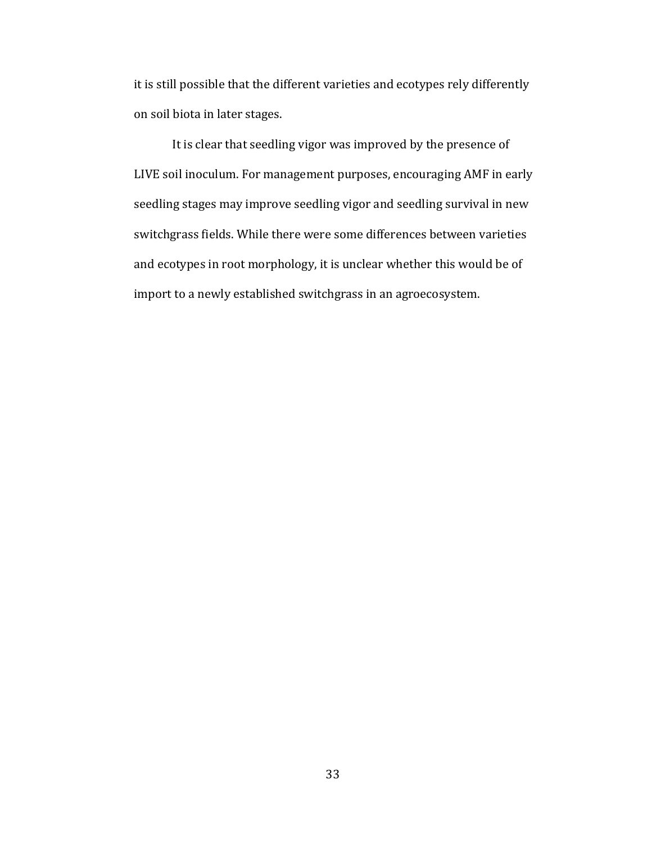it is still possible that the different varieties and ecotypes rely differently on soil biota in later stages.

It is clear that seedling vigor was improved by the presence of LIVE soil inoculum. For management purposes, encouraging AMF in early seedling stages may improve seedling vigor and seedling survival in new switchgrass fields. While there were some differences between varieties and ecotypes in root morphology, it is unclear whether this would be of import to a newly established switchgrass in an agroecosystem.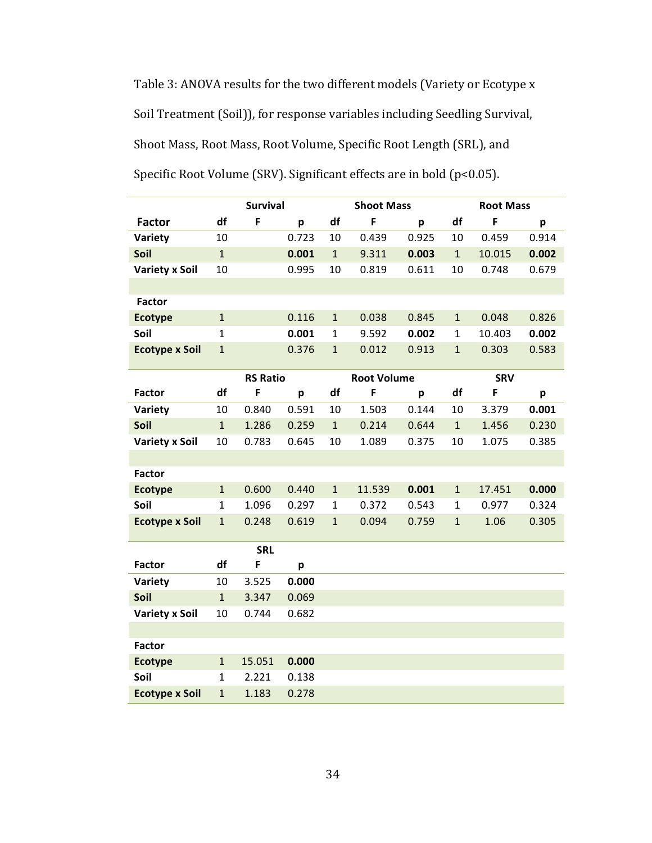Table 3: ANOVA results for the two different models (Variety or Ecotype x Soil Treatment (Soil)), for response variables including Seedling Survival, Shoot Mass, Root Mass, Root Volume, Specific Root Length (SRL), and Specific Root Volume (SRV). Significant effects are in bold (p<0.05).

|                       | <b>Survival</b> |                 |       | <b>Shoot Mass</b> |                    |       | <b>Root Mass</b> |            |       |
|-----------------------|-----------------|-----------------|-------|-------------------|--------------------|-------|------------------|------------|-------|
| <b>Factor</b>         | df              | F               | p     | df                | F                  | p     | df               | F          | p     |
| Variety               | 10              |                 | 0.723 | 10                | 0.439              | 0.925 | 10               | 0.459      | 0.914 |
| Soil                  | $\mathbf{1}$    |                 | 0.001 | $\mathbf{1}$      | 9.311              | 0.003 | $\mathbf{1}$     | 10.015     | 0.002 |
| <b>Variety x Soil</b> | 10              |                 | 0.995 | 10                | 0.819              | 0.611 | 10               | 0.748      | 0.679 |
|                       |                 |                 |       |                   |                    |       |                  |            |       |
| <b>Factor</b>         |                 |                 |       |                   |                    |       |                  |            |       |
| <b>Ecotype</b>        | $\mathbf{1}$    |                 | 0.116 | $\mathbf{1}$      | 0.038              | 0.845 | $\mathbf{1}$     | 0.048      | 0.826 |
| Soil                  | $\mathbf{1}$    |                 | 0.001 | $\mathbf{1}$      | 9.592              | 0.002 | $\mathbf{1}$     | 10.403     | 0.002 |
| <b>Ecotype x Soil</b> | $\mathbf{1}$    |                 | 0.376 | $\mathbf{1}$      | 0.012              | 0.913 | $\mathbf{1}$     | 0.303      | 0.583 |
|                       |                 |                 |       |                   |                    |       |                  |            |       |
|                       |                 | <b>RS Ratio</b> |       |                   | <b>Root Volume</b> |       |                  | <b>SRV</b> |       |
| <b>Factor</b>         | df              | F               | p     | df                | F                  | p     | df               | F          | p     |
| Variety               | 10              | 0.840           | 0.591 | 10                | 1.503              | 0.144 | 10               | 3.379      | 0.001 |
| Soil                  | $\mathbf{1}$    | 1.286           | 0.259 | $\mathbf{1}$      | 0.214              | 0.644 | $\mathbf{1}$     | 1.456      | 0.230 |
| <b>Variety x Soil</b> | 10              | 0.783           | 0.645 | 10                | 1.089              | 0.375 | 10               | 1.075      | 0.385 |
|                       |                 |                 |       |                   |                    |       |                  |            |       |
| <b>Factor</b>         |                 |                 |       |                   |                    |       |                  |            |       |
| <b>Ecotype</b>        | $\mathbf{1}$    | 0.600           | 0.440 | $\mathbf{1}$      | 11.539             | 0.001 | $\mathbf{1}$     | 17.451     | 0.000 |
| Soil                  | $\mathbf{1}$    | 1.096           | 0.297 | $\mathbf{1}$      | 0.372              | 0.543 | $\mathbf{1}$     | 0.977      | 0.324 |
| <b>Ecotype x Soil</b> | $\mathbf{1}$    | 0.248           | 0.619 | $\mathbf{1}$      | 0.094              | 0.759 | $\mathbf{1}$     | 1.06       | 0.305 |
|                       |                 | <b>SRL</b>      |       |                   |                    |       |                  |            |       |
| <b>Factor</b>         | df              | F               | p     |                   |                    |       |                  |            |       |
| Variety               | 10              | 3.525           | 0.000 |                   |                    |       |                  |            |       |
| Soil                  | $\mathbf 1$     | 3.347           | 0.069 |                   |                    |       |                  |            |       |
| <b>Variety x Soil</b> | 10              | 0.744           | 0.682 |                   |                    |       |                  |            |       |
|                       |                 |                 |       |                   |                    |       |                  |            |       |
| <b>Factor</b>         |                 |                 |       |                   |                    |       |                  |            |       |
| <b>Ecotype</b>        | $\mathbf{1}$    | 15.051          | 0.000 |                   |                    |       |                  |            |       |
| Soil                  | $\mathbf{1}$    | 2.221           | 0.138 |                   |                    |       |                  |            |       |
| <b>Ecotype x Soil</b> | $\mathbf{1}$    | 1.183           | 0.278 |                   |                    |       |                  |            |       |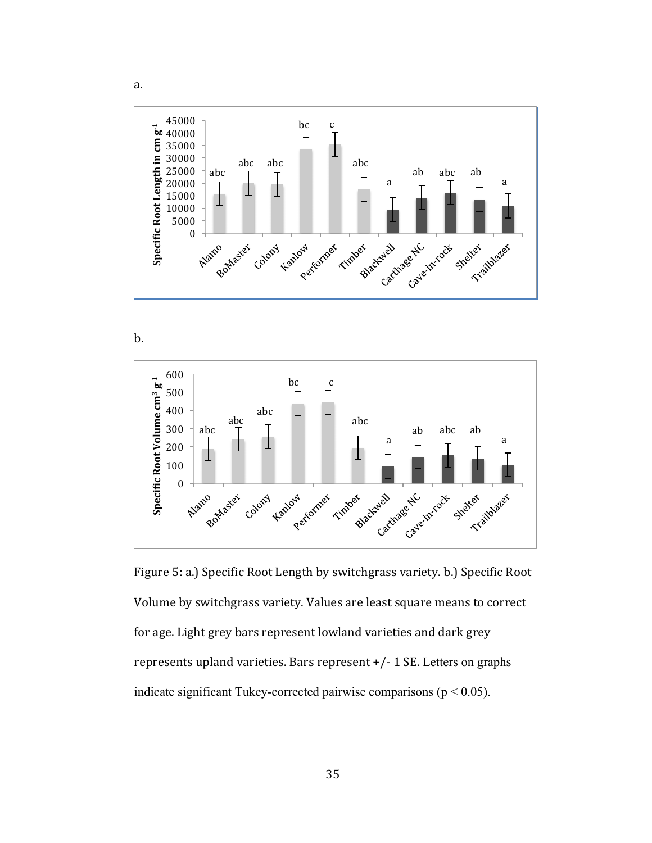

b.

a.



Figure 5: a.) Specific Root Length by switchgrass variety. b.) Specific Root Volume by switchgrass variety. Values are least square means to correct for age. Light grey bars represent lowland varieties and dark grey represents upland varieties. Bars represent  $+/- 1$  SE. Letters on graphs indicate significant Tukey-corrected pairwise comparisons ( $p < 0.05$ ).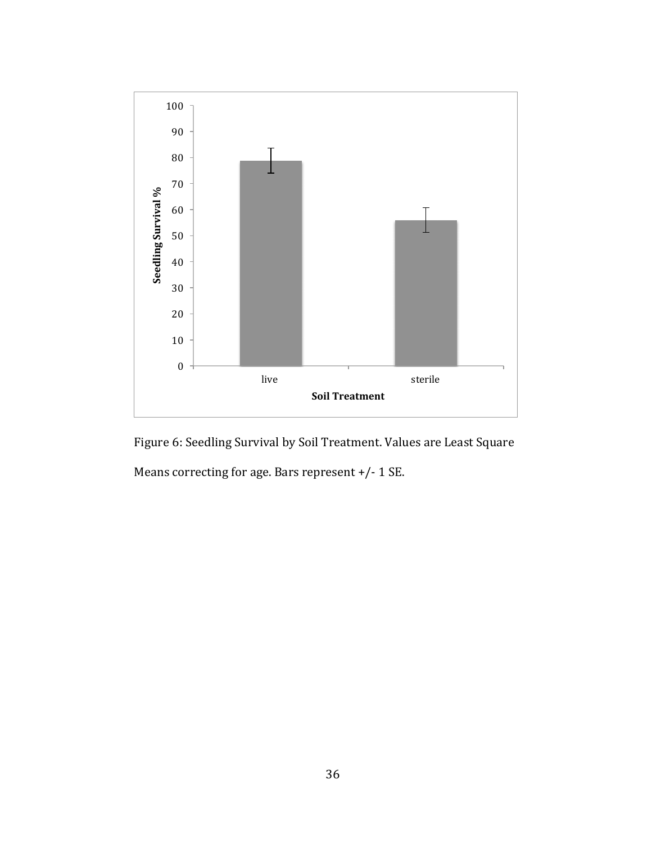

Figure 6: Seedling Survival by Soil Treatment. Values are Least Square Means correcting for age. Bars represent  $+/- 1$  SE.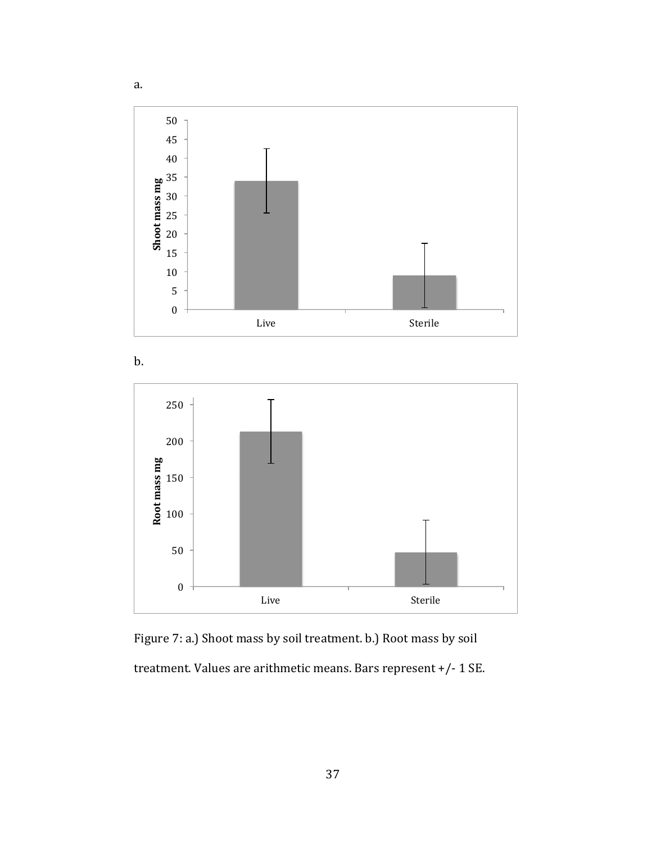





Figure 7: a.) Shoot mass by soil treatment. b.) Root mass by soil treatment. Values are arithmetic means. Bars represent  $+/- 1$  SE.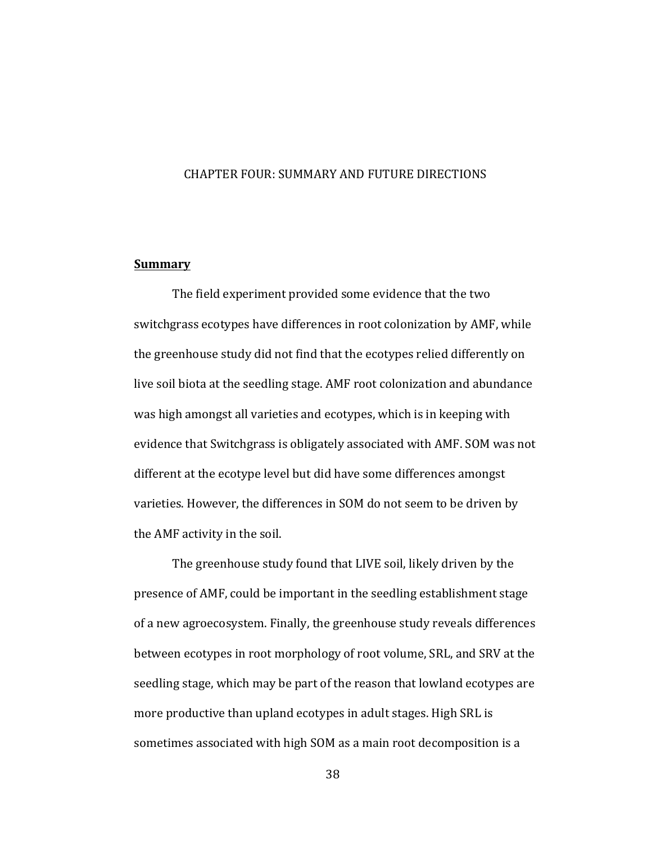#### CHAPTER FOUR: SUMMARY AND FUTURE DIRECTIONS

#### **Summary**

The field experiment provided some evidence that the two switchgrass ecotypes have differences in root colonization by AMF, while the greenhouse study did not find that the ecotypes relied differently on live soil biota at the seedling stage. AMF root colonization and abundance was high amongst all varieties and ecotypes, which is in keeping with evidence that Switchgrass is obligately associated with AMF. SOM was not different at the ecotype level but did have some differences amongst varieties. However, the differences in SOM do not seem to be driven by the AMF activity in the soil.

The greenhouse study found that LIVE soil, likely driven by the presence of AMF, could be important in the seedling establishment stage of a new agroecosystem. Finally, the greenhouse study reveals differences between ecotypes in root morphology of root volume, SRL, and SRV at the seedling stage, which may be part of the reason that lowland ecotypes are more productive than upland ecotypes in adult stages. High SRL is sometimes associated with high SOM as a main root decomposition is a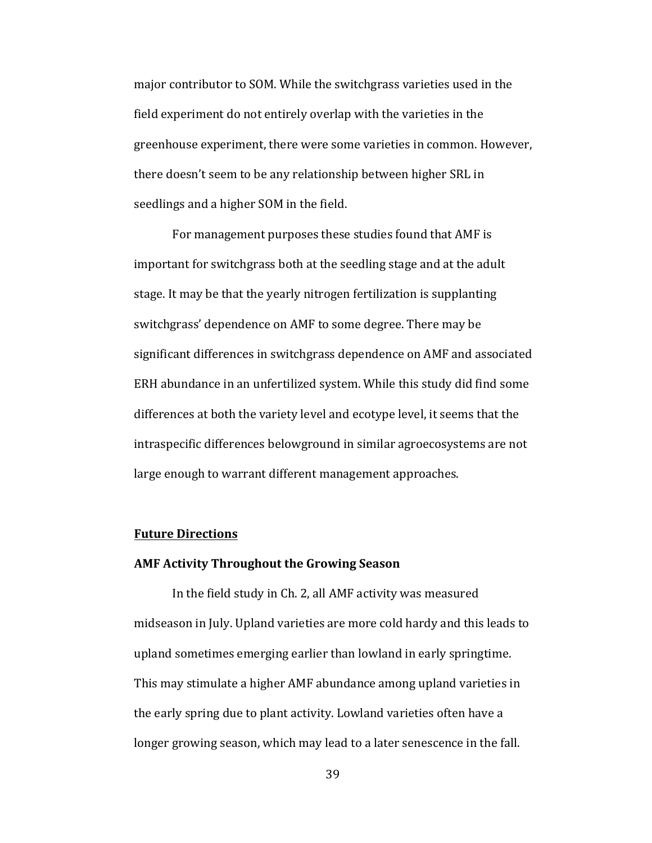major contributor to SOM. While the switchgrass varieties used in the field experiment do not entirely overlap with the varieties in the greenhouse experiment, there were some varieties in common. However, there doesn't seem to be any relationship between higher SRL in seedlings and a higher SOM in the field.

For management purposes these studies found that AMF is important for switchgrass both at the seedling stage and at the adult stage. It may be that the yearly nitrogen fertilization is supplanting switchgrass' dependence on AMF to some degree. There may be significant differences in switchgrass dependence on AMF and associated ERH abundance in an unfertilized system. While this study did find some differences at both the variety level and ecotype level, it seems that the intraspecific differences belowground in similar agroecosystems are not large enough to warrant different management approaches.

#### **Future Directions**

#### **AMF Activity Throughout the Growing Season**

In the field study in Ch. 2, all AMF activity was measured midseason in July. Upland varieties are more cold hardy and this leads to upland sometimes emerging earlier than lowland in early springtime. This may stimulate a higher AMF abundance among upland varieties in the early spring due to plant activity. Lowland varieties often have a longer growing season, which may lead to a later senescence in the fall.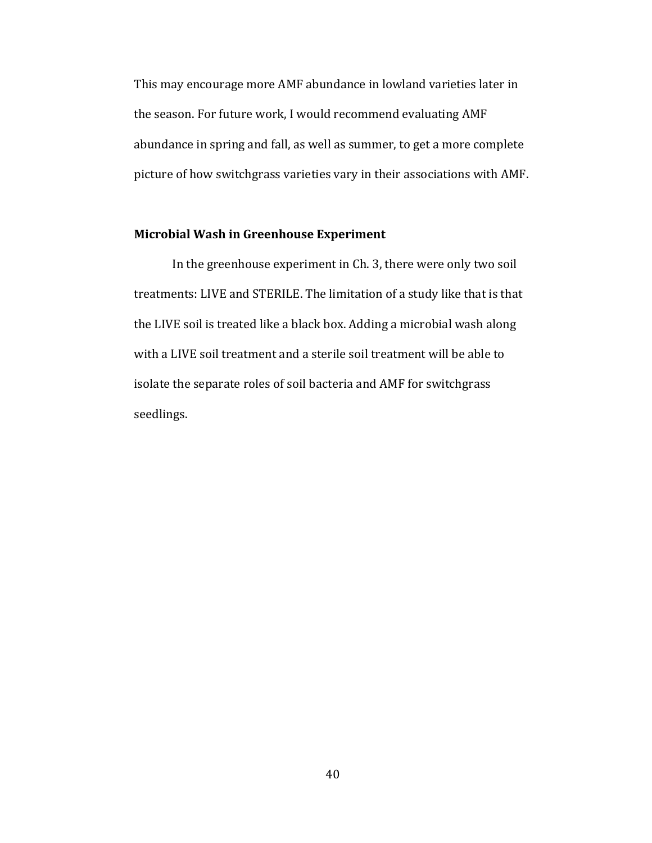This may encourage more AMF abundance in lowland varieties later in the season. For future work, I would recommend evaluating AMF abundance in spring and fall, as well as summer, to get a more complete picture of how switchgrass varieties vary in their associations with AMF.

#### **Microbial Wash in Greenhouse Experiment**

In the greenhouse experiment in Ch. 3, there were only two soil treatments: LIVE and STERILE. The limitation of a study like that is that the LIVE soil is treated like a black box. Adding a microbial wash along with a LIVE soil treatment and a sterile soil treatment will be able to isolate the separate roles of soil bacteria and AMF for switchgrass seedlings.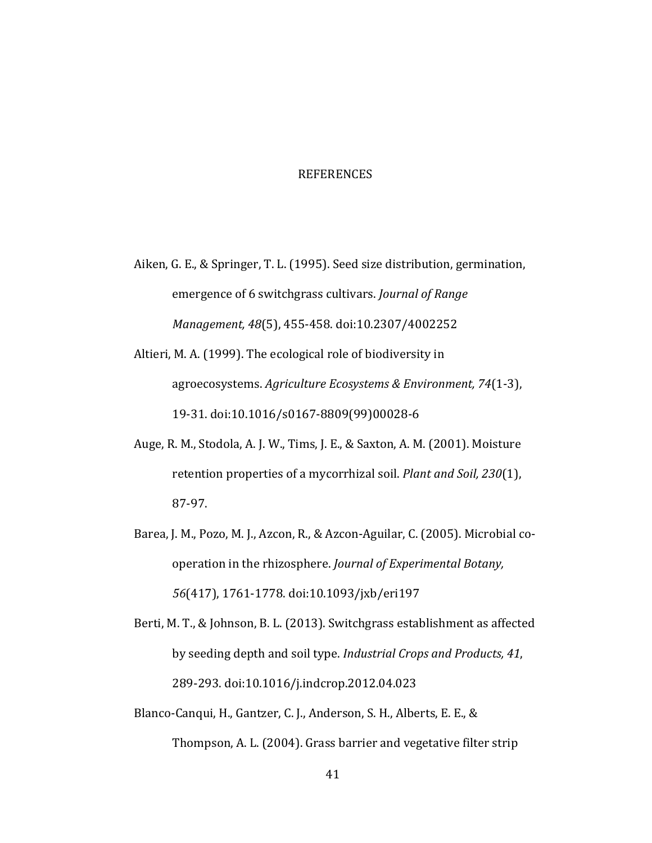#### REFERENCES

- Aiken, G. E., & Springer, T. L. (1995). Seed size distribution, germination, emergence of 6 switchgrass cultivars. *Journal of Range Management, 48*(5), 455-458. doi:10.2307/4002252
- Altieri, M. A. (1999). The ecological role of biodiversity in agroecosystems. *Agriculture Ecosystems & Environment, 74*(1-3), 19-31. doi:10.1016/s0167-8809(99)00028-6
- Auge, R. M., Stodola, A. J. W., Tims, J. E., & Saxton, A. M. (2001). Moisture retention properties of a mycorrhizal soil. *Plant and Soil, 230*(1), 87-97.
- Barea, J. M., Pozo, M. J., Azcon, R., & Azcon-Aguilar, C. (2005). Microbial cooperation in the rhizosphere. *Journal of Experimental Botany*, *56*(417), 1761-1778. doi:10.1093/jxb/eri197
- Berti, M. T., & Johnson, B. L. (2013). Switchgrass establishment as affected by seeding depth and soil type. *Industrial Crops and Products, 41*, 289-293. doi:10.1016/j.indcrop.2012.04.023
- Blanco-Canqui, H., Gantzer, C. J., Anderson, S. H., Alberts, E. E., & Thompson, A. L. (2004). Grass barrier and vegetative filter strip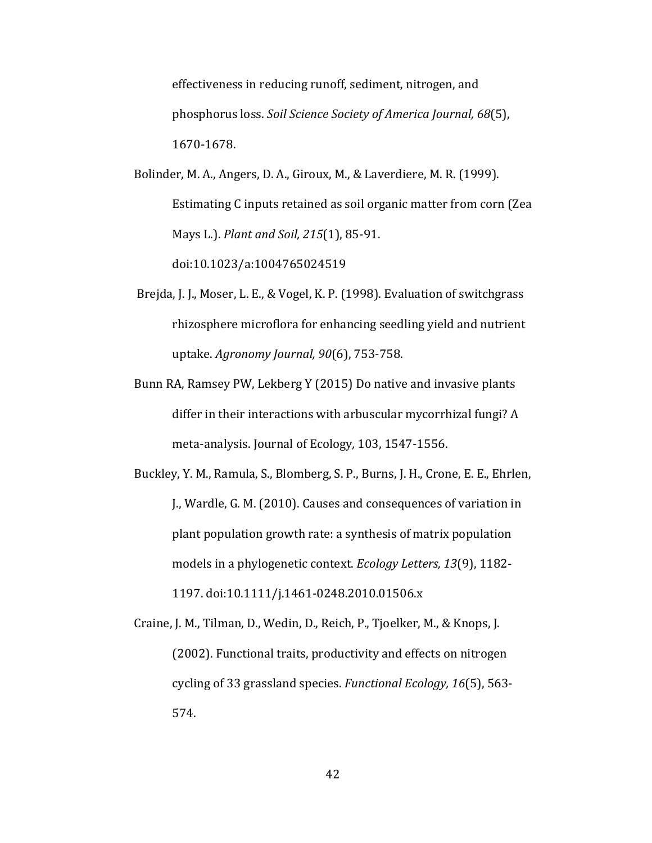effectiveness in reducing runoff, sediment, nitrogen, and phosphorus loss. *Soil Science Society of America Journal, 68*(5), 1670-1678. 

Bolinder, M. A., Angers, D. A., Giroux, M., & Laverdiere, M. R. (1999). Estimating C inputs retained as soil organic matter from corn (Zea Mays L.). *Plant and Soil, 215*(1), 85-91. doi:10.1023/a:1004765024519

- Brejda, J. J., Moser, L. E., & Vogel, K. P. (1998). Evaluation of switchgrass rhizosphere microflora for enhancing seedling yield and nutrient uptake. *Agronomy Journal, 90*(6), 753-758.
- Bunn RA, Ramsey PW, Lekberg Y (2015) Do native and invasive plants differ in their interactions with arbuscular mycorrhizal fungi? A meta-analysis. Journal of Ecology*,* 103, 1547-1556.

Buckley, Y. M., Ramula, S., Blomberg, S. P., Burns, J. H., Crone, E. E., Ehrlen, J., Wardle, G. M. (2010). Causes and consequences of variation in plant population growth rate: a synthesis of matrix population models in a phylogenetic context. *Ecology Letters*, 13(9), 1182-1197. doi:10.1111/j.1461-0248.2010.01506.x

Craine, J. M., Tilman, D., Wedin, D., Reich, P., Tjoelker, M., & Knops, J. (2002). Functional traits, productivity and effects on nitrogen cycling of 33 grassland species. *Functional Ecology*, 16(5), 563-574.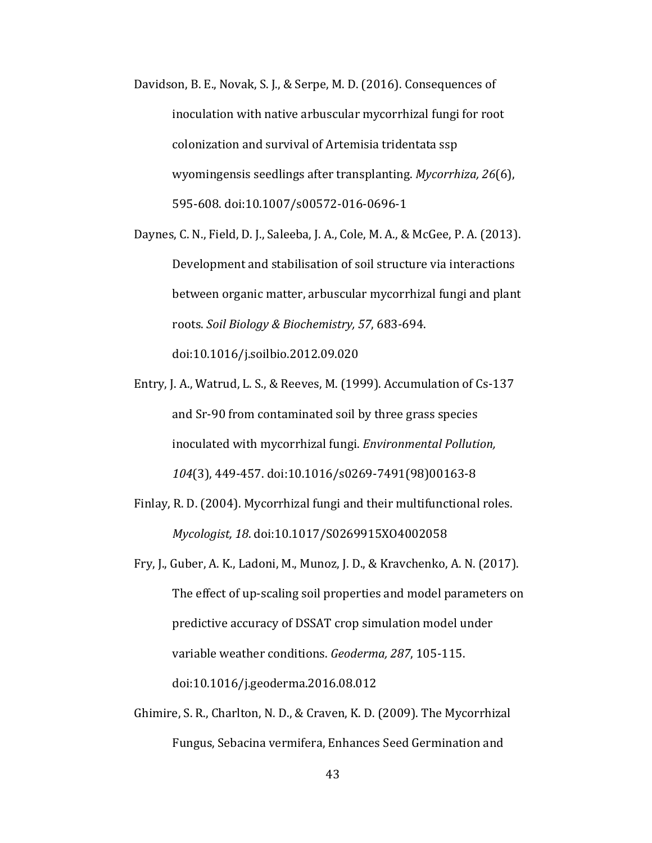- Davidson, B. E., Novak, S. J., & Serpe, M. D. (2016). Consequences of inoculation with native arbuscular mycorrhizal fungi for root colonization and survival of Artemisia tridentata ssp wyomingensis seedlings after transplanting. *Mycorrhiza*, 26(6), 595-608. doi:10.1007/s00572-016-0696-1
- Daynes, C. N., Field, D. J., Saleeba, J. A., Cole, M. A., & McGee, P. A. (2013). Development and stabilisation of soil structure via interactions between organic matter, arbuscular mycorrhizal fungi and plant roots. *Soil Biology & Biochemistry, 57, 683-694.* doi:10.1016/j.soilbio.2012.09.020
- Entry, J. A., Watrud, L. S., & Reeves, M. (1999). Accumulation of Cs-137 and Sr-90 from contaminated soil by three grass species inoculated with mycorrhizal fungi. *Environmental Pollution*, *104*(3), 449-457. doi:10.1016/s0269-7491(98)00163-8
- Finlay, R. D. (2004). Mycorrhizal fungi and their multifunctional roles. *Mycologist, 18*. doi:10.1017/S0269915XO4002058
- Fry, J., Guber, A. K., Ladoni, M., Munoz, J. D., & Kravchenko, A. N. (2017). The effect of up-scaling soil properties and model parameters on predictive accuracy of DSSAT crop simulation model under variable weather conditions. *Geoderma*, 287, 105-115. doi:10.1016/j.geoderma.2016.08.012
- Ghimire, S. R., Charlton, N. D., & Craven, K. D. (2009). The Mycorrhizal Fungus, Sebacina vermifera, Enhances Seed Germination and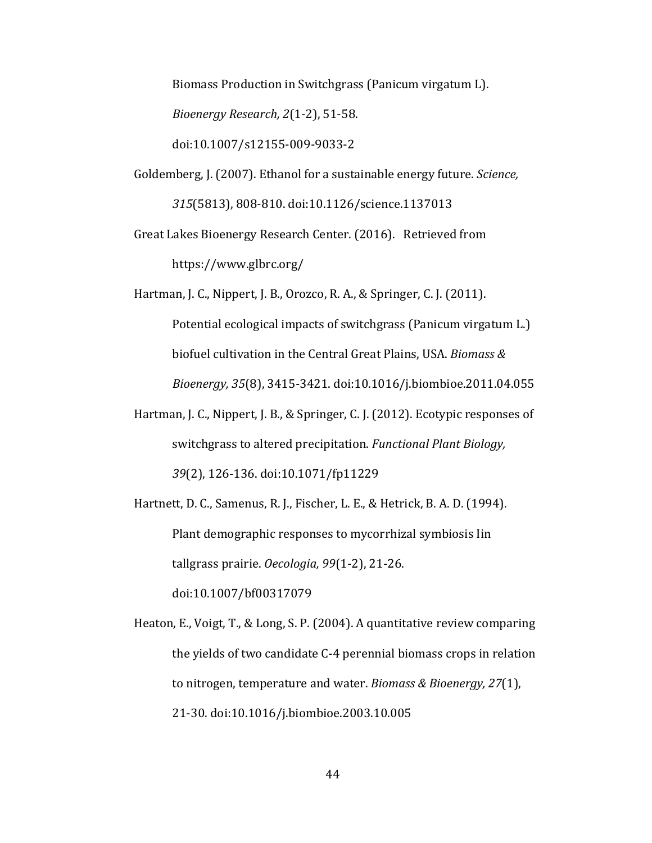Biomass Production in Switchgrass (Panicum virgatum L). *Bioenergy Research, 2*(1-2), 51-58. doi:10.1007/s12155-009-9033-2

Goldemberg, J. (2007). Ethanol for a sustainable energy future. *Science*, *315*(5813), 808-810. doi:10.1126/science.1137013

Great Lakes Bioenergy Research Center. (2016). Retrieved from https://www.glbrc.org/

Hartman, J. C., Nippert, J. B., Orozco, R. A., & Springer, C. J. (2011). Potential ecological impacts of switchgrass (Panicum virgatum L.) biofuel cultivation in the Central Great Plains, USA. *Biomass & Bioenergy, 35*(8), 3415-3421. doi:10.1016/j.biombioe.2011.04.055

Hartman, J. C., Nippert, J. B., & Springer, C. J. (2012). Ecotypic responses of switchgrass to altered precipitation. *Functional Plant Biology*, 39(2), 126-136. doi:10.1071/fp11229

Hartnett, D. C., Samenus, R. J., Fischer, L. E., & Hetrick, B. A. D. (1994). Plant demographic responses to mycorrhizal symbiosis Iin tallgrass prairie. *Oecologia*, 99(1-2), 21-26. doi:10.1007/bf00317079

Heaton, E., Voigt, T., & Long, S. P. (2004). A quantitative review comparing the yields of two candidate C-4 perennial biomass crops in relation to nitrogen, temperature and water. *Biomass & Bioenergy, 27*(1), 21-30. doi:10.1016/j.biombioe.2003.10.005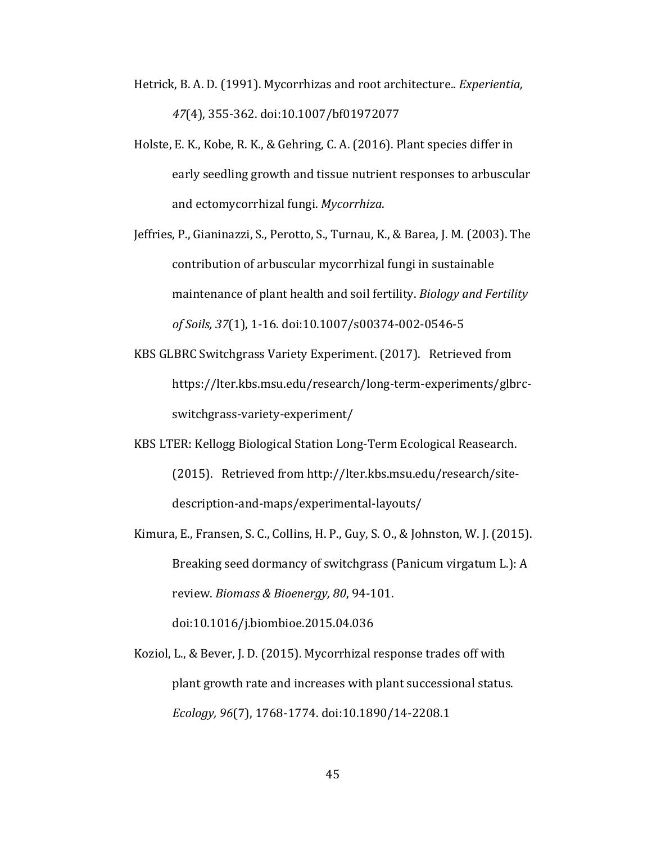- Hetrick, B. A. D. (1991). Mycorrhizas and root architecture.. *Experientia*, *47*(4), 355-362. doi:10.1007/bf01972077
- Holste, E. K., Kobe, R. K., & Gehring, C. A. (2016). Plant species differ in early seedling growth and tissue nutrient responses to arbuscular and ectomycorrhizal fungi. *Mycorrhiza*.
- Jeffries, P., Gianinazzi, S., Perotto, S., Turnau, K., & Barea, J. M. (2003). The contribution of arbuscular mycorrhizal fungi in sustainable maintenance of plant health and soil fertility. *Biology and Fertility of Soils, 37*(1), 1-16. doi:10.1007/s00374-002-0546-5
- KBS GLBRC Switchgrass Variety Experiment. (2017). Retrieved from https://lter.kbs.msu.edu/research/long-term-experiments/glbrcswitchgrass-variety-experiment/
- KBS LTER: Kellogg Biological Station Long-Term Ecological Reasearch. (2015). Retrieved from http://lter.kbs.msu.edu/research/sitedescription-and-maps/experimental-layouts/
- Kimura, E., Fransen, S. C., Collins, H. P., Guy, S. O., & Johnston, W. J. (2015). Breaking seed dormancy of switchgrass (Panicum virgatum L.): A review. *Biomass & Bioenergy, 80, 94-101.* doi:10.1016/j.biombioe.2015.04.036
- Koziol, L., & Bever, J. D. (2015). Mycorrhizal response trades off with plant growth rate and increases with plant successional status. *Ecology, 96*(7), 1768-1774. doi:10.1890/14-2208.1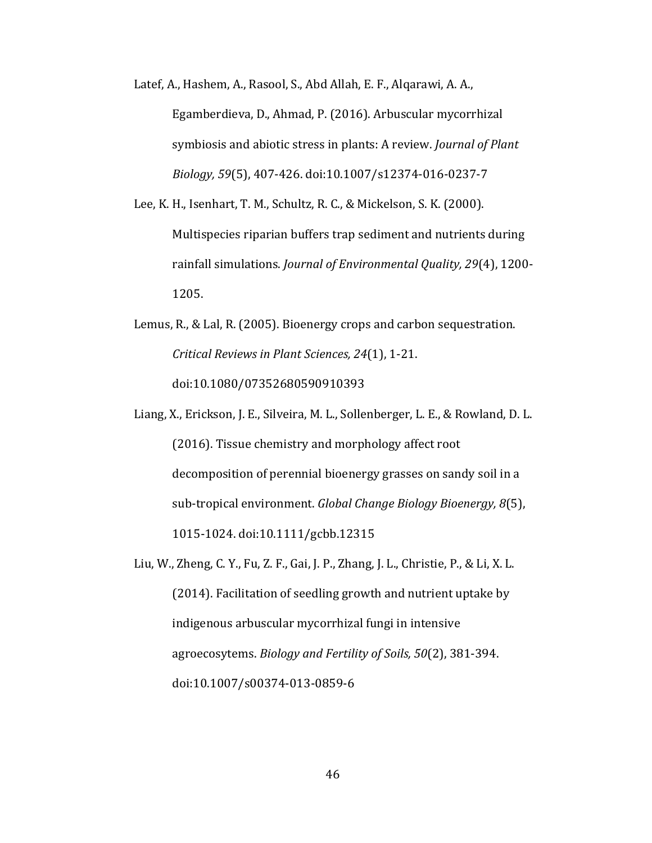Latef, A., Hashem, A., Rasool, S., Abd Allah, E. F., Algarawi, A. A., Egamberdieva, D., Ahmad, P. (2016). Arbuscular mycorrhizal symbiosis and abiotic stress in plants: A review. *Journal of Plant Biology,* 59(5), 407-426. doi:10.1007/s12374-016-0237-7

Lee, K. H., Isenhart, T. M., Schultz, R. C., & Mickelson, S. K. (2000). Multispecies riparian buffers trap sediment and nutrients during rainfall simulations. *Journal of Environmental Quality, 29*(4), 1200-1205. 

- Lemus, R., & Lal, R. (2005). Bioenergy crops and carbon sequestration. *Critical Reviews in Plant Sciences, 24*(1), 1-21. doi:10.1080/07352680590910393
- Liang, X., Erickson, J. E., Silveira, M. L., Sollenberger, L. E., & Rowland, D. L. (2016). Tissue chemistry and morphology affect root decomposition of perennial bioenergy grasses on sandy soil in a sub-tropical environment. *Global Change Biology Bioenergy, 8*(5), 1015-1024. doi:10.1111/gcbb.12315
- Liu, W., Zheng, C. Y., Fu, Z. F., Gai, J. P., Zhang, J. L., Christie, P., & Li, X. L. (2014). Facilitation of seedling growth and nutrient uptake by indigenous arbuscular mycorrhizal fungi in intensive agroecosytems. *Biology and Fertility of Soils, 50*(2), 381-394. doi:10.1007/s00374-013-0859-6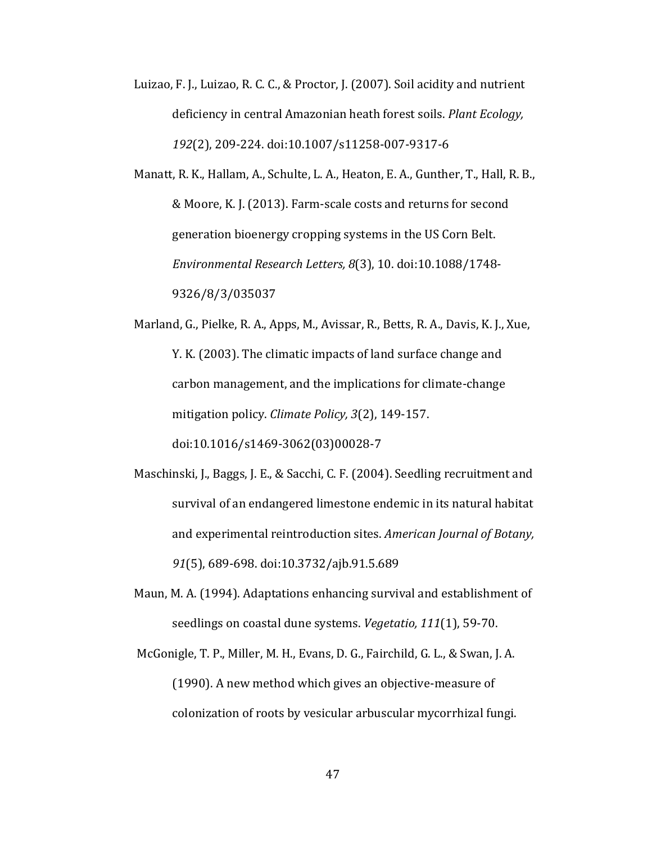Luizao, F. J., Luizao, R. C. C., & Proctor, J. (2007). Soil acidity and nutrient deficiency in central Amazonian heath forest soils. *Plant Ecology*, *192*(2), 209-224. doi:10.1007/s11258-007-9317-6

Manatt, R. K., Hallam, A., Schulte, L. A., Heaton, E. A., Gunther, T., Hall, R. B., & Moore, K. J. (2013). Farm-scale costs and returns for second generation bioenergy cropping systems in the US Corn Belt. *Environmental Research Letters, 8*(3), 10. doi:10.1088/1748- 9326/8/3/035037

Marland, G., Pielke, R. A., Apps, M., Avissar, R., Betts, R. A., Davis, K. J., Xue, Y. K. (2003). The climatic impacts of land surface change and carbon management, and the implications for climate-change mitigation policy. *Climate Policy*, 3(2), 149-157. doi:10.1016/s1469-3062(03)00028-7

- Maschinski, J., Baggs, J. E., & Sacchi, C. F. (2004). Seedling recruitment and survival of an endangered limestone endemic in its natural habitat and experimental reintroduction sites. *American Journal of Botany*, 91(5), 689-698. doi:10.3732/ajb.91.5.689
- Maun, M. A. (1994). Adaptations enhancing survival and establishment of seedlings on coastal dune systems. *Vegetatio*, 111(1), 59-70.

McGonigle, T. P., Miller, M. H., Evans, D. G., Fairchild, G. L., & Swan, J. A. (1990). A new method which gives an objective-measure of colonization of roots by vesicular arbuscular mycorrhizal fungi.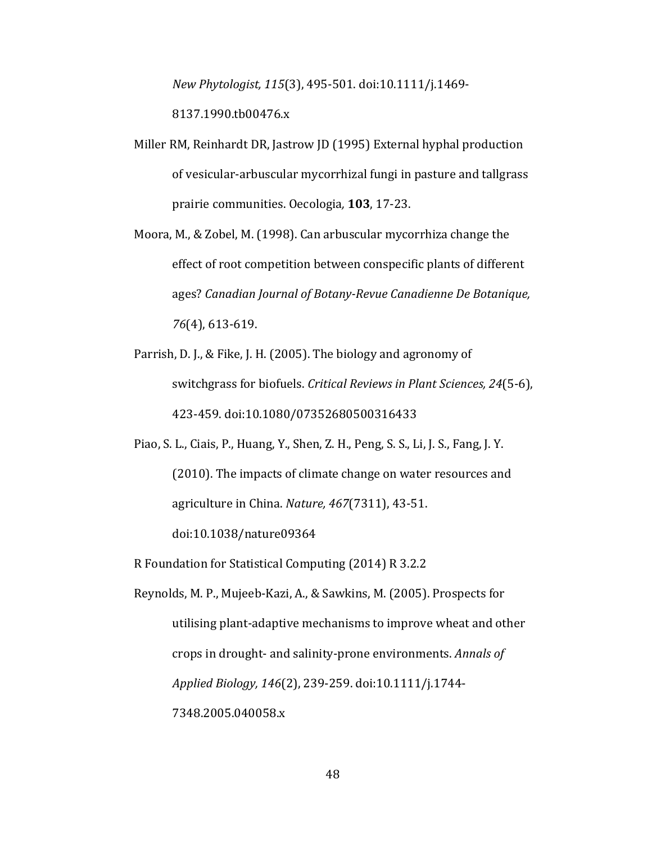*New Phytologist, 115*(3), 495-501. doi:10.1111/j.1469-

8137.1990.tb00476.x

- Miller RM, Reinhardt DR, Jastrow JD (1995) External hyphal production of vesicular-arbuscular mycorrhizal fungi in pasture and tallgrass prairie communities. Oecologia*,* **103**, 17-23.
- Moora, M., & Zobel, M. (1998). Can arbuscular mycorrhiza change the effect of root competition between conspecific plants of different ages? *Canadian Journal of Botany-Revue Canadienne De Botanique, 76*(4), 613-619.
- Parrish, D. J., & Fike, J. H. (2005). The biology and agronomy of switchgrass for biofuels. *Critical Reviews in Plant Sciences, 24*(5-6), 423-459. doi:10.1080/07352680500316433
- Piao, S. L., Ciais, P., Huang, Y., Shen, Z. H., Peng, S. S., Li, J. S., Fang, J. Y. (2010). The impacts of climate change on water resources and agriculture in China. *Nature*, 467(7311), 43-51. doi:10.1038/nature09364

R Foundation for Statistical Computing (2014) R 3.2.2

Reynolds, M. P., Mujeeb-Kazi, A., & Sawkins, M. (2005). Prospects for utilising plant-adaptive mechanisms to improve wheat and other crops in drought- and salinity-prone environments. *Annals of Applied Biology, 146*(2), 239-259. doi:10.1111/j.1744- 7348.2005.040058.x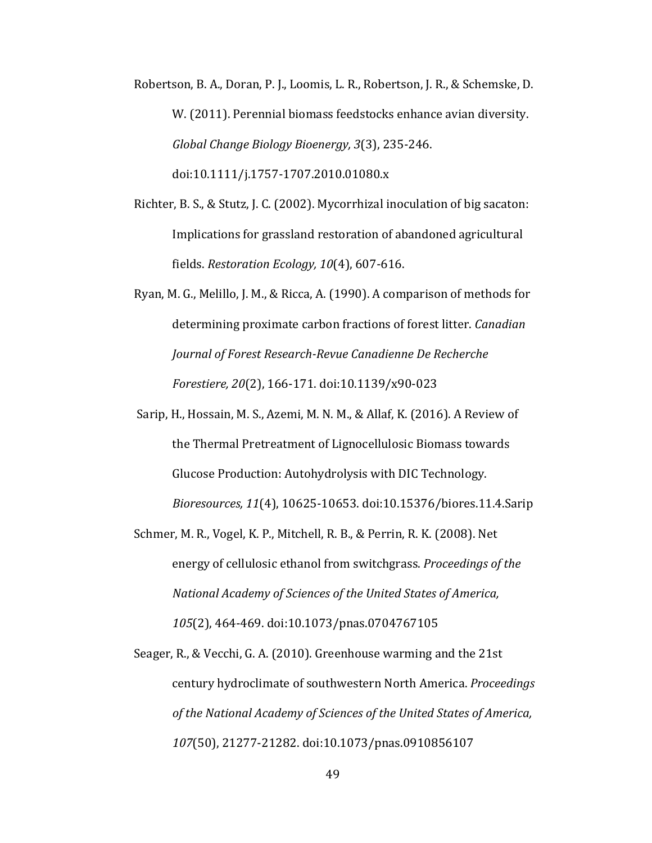Robertson, B. A., Doran, P. J., Loomis, L. R., Robertson, J. R., & Schemske, D. W. (2011). Perennial biomass feedstocks enhance avian diversity. *Global Change Biology Bioenergy, 3*(3), 235-246. doi:10.1111/j.1757-1707.2010.01080.x

- Richter, B. S., & Stutz, J. C. (2002). Mycorrhizal inoculation of big sacaton: Implications for grassland restoration of abandoned agricultural fields. *Restoration Ecology, 10*(4), 607-616.
- Ryan, M. G., Melillo, J. M., & Ricca, A. (1990). A comparison of methods for determining proximate carbon fractions of forest litter. *Canadian Journal of Forest Research-Revue Canadienne De Recherche Forestiere, 20*(2), 166-171. doi:10.1139/x90-023
- Sarip, H., Hossain, M. S., Azemi, M. N. M., & Allaf, K. (2016). A Review of the Thermal Pretreatment of Lignocellulosic Biomass towards Glucose Production: Autohydrolysis with DIC Technology. *Bioresources, 11*(4), 10625-10653. doi:10.15376/biores.11.4.Sarip
- Schmer, M. R., Vogel, K. P., Mitchell, R. B., & Perrin, R. K. (2008). Net energy of cellulosic ethanol from switchgrass. *Proceedings of the National Academy of Sciences of the United States of America,* 105(2), 464-469. doi:10.1073/pnas.0704767105

Seager, R., & Vecchi, G. A. (2010). Greenhouse warming and the 21st century hydroclimate of southwestern North America. *Proceedings* of the National Academy of Sciences of the United States of America, 107(50), 21277-21282. doi:10.1073/pnas.0910856107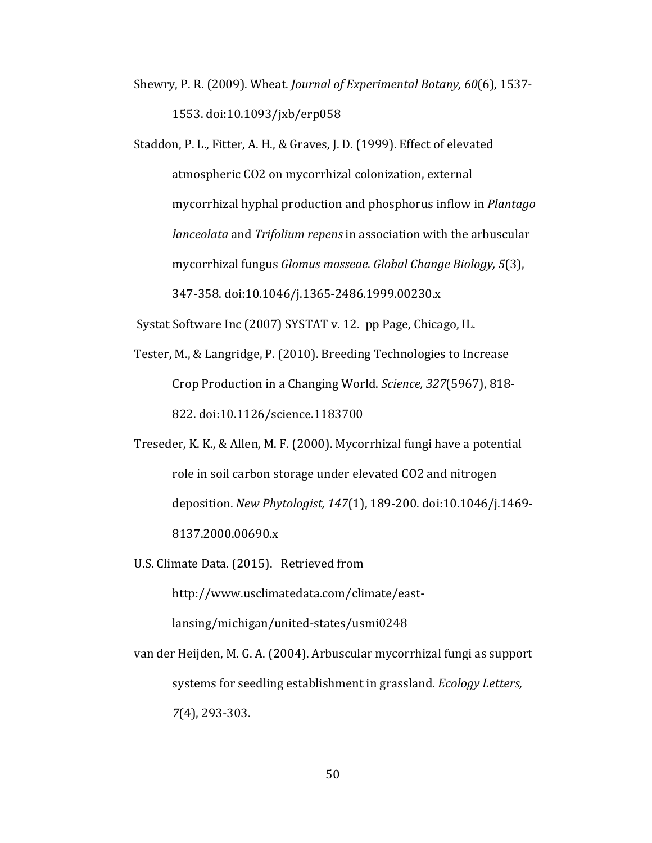- Shewry, P. R. (2009). Wheat. *Journal of Experimental Botany, 60*(6), 1537-1553. doi:10.1093/jxb/erp058
- Staddon, P. L., Fitter, A. H., & Graves, J. D. (1999). Effect of elevated atmospheric CO2 on mycorrhizal colonization, external mycorrhizal hyphal production and phosphorus inflow in *Plantago lanceolata* and *Trifolium repens* in association with the arbuscular mycorrhizal fungus *Glomus mosseae. Global Change Biology,* 5(3), 347-358. doi:10.1046/j.1365-2486.1999.00230.x

Systat Software Inc (2007) SYSTAT v. 12. pp Page, Chicago, IL.

- Tester, M., & Langridge, P. (2010). Breeding Technologies to Increase Crop Production in a Changing World. *Science*, 327(5967), 818-822. doi:10.1126/science.1183700
- Treseder, K. K., & Allen, M. F. (2000). Mycorrhizal fungi have a potential role in soil carbon storage under elevated CO2 and nitrogen deposition. *New Phytologist, 147*(1), 189-200. doi:10.1046/j.1469- 8137.2000.00690.x

U.S. Climate Data. (2015). Retrieved from

http://www.usclimatedata.com/climate/east-

lansing/michigan/united-states/usmi0248

van der Heijden, M. G. A. (2004). Arbuscular mycorrhizal fungi as support systems for seedling establishment in grassland. *Ecology Letters*, *7*(4), 293-303.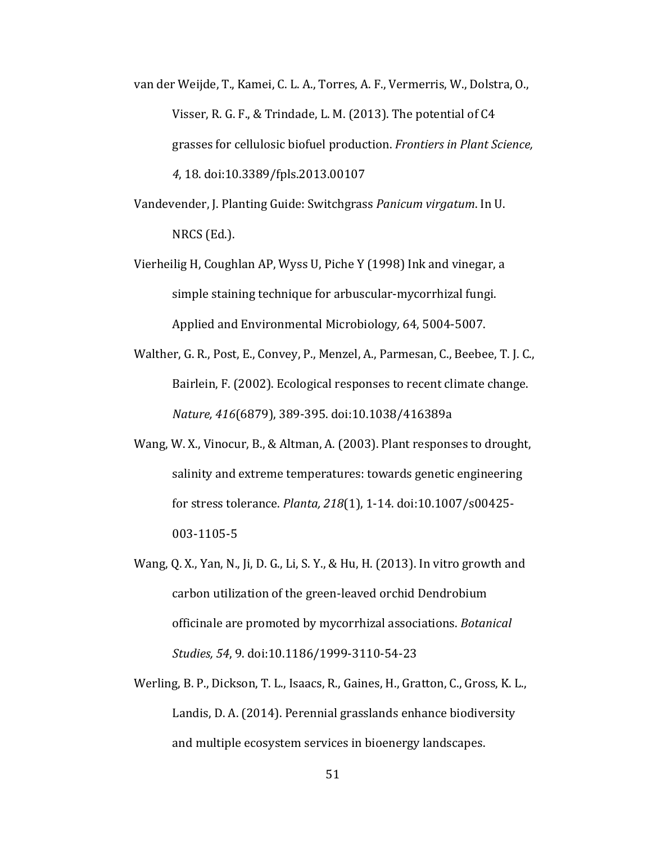- van der Weijde, T., Kamei, C. L. A., Torres, A. F., Vermerris, W., Dolstra, O., Visser, R. G. F., & Trindade, L. M. (2013). The potential of C4 grasses for cellulosic biofuel production. *Frontiers in Plant Science*, *4*, 18. doi:10.3389/fpls.2013.00107
- Vandevender, J. Planting Guide: Switchgrass *Panicum virgatum*. In U.  $NRCS$  (Ed.).
- Vierheilig H, Coughlan AP, Wyss U, Piche Y (1998) Ink and vinegar, a simple staining technique for arbuscular-mycorrhizal fungi. Applied and Environmental Microbiology, 64, 5004-5007.
- Walther, G. R., Post, E., Convey, P., Menzel, A., Parmesan, C., Beebee, T. J. C., Bairlein, F. (2002). Ecological responses to recent climate change. *Nature, 416*(6879), 389-395. doi:10.1038/416389a
- Wang, W. X., Vinocur, B., & Altman, A. (2003). Plant responses to drought, salinity and extreme temperatures: towards genetic engineering for stress tolerance. *Planta, 218*(1), 1-14. doi:10.1007/s00425-003-1105-5
- Wang, O. X., Yan, N., Ji, D. G., Li, S. Y., & Hu, H. (2013). In vitro growth and carbon utilization of the green-leaved orchid Dendrobium officinale are promoted by mycorrhizal associations. *Botanical Studies, 54*, 9. doi:10.1186/1999-3110-54-23
- Werling, B. P., Dickson, T. L., Isaacs, R., Gaines, H., Gratton, C., Gross, K. L., Landis, D. A. (2014). Perennial grasslands enhance biodiversity and multiple ecosystem services in bioenergy landscapes.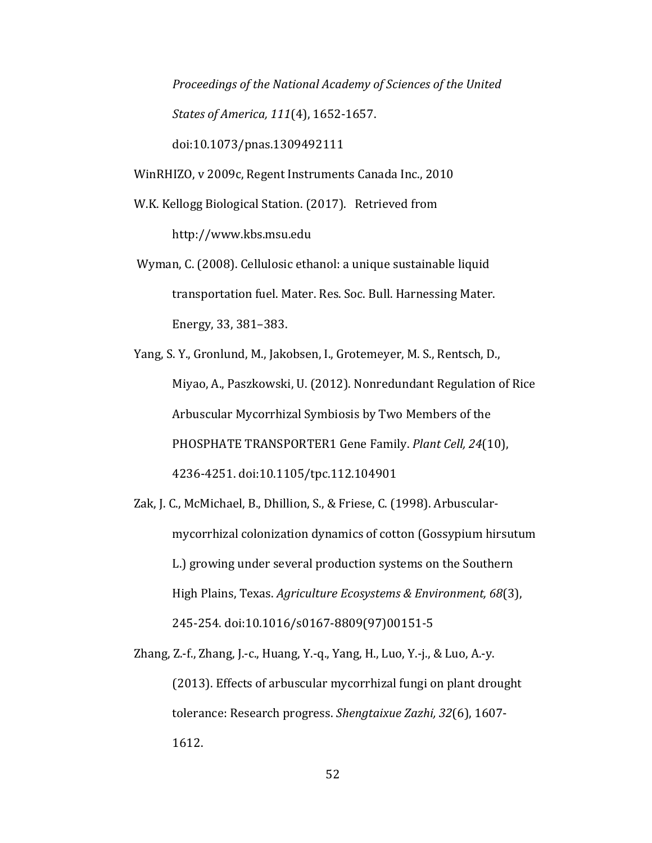*Proceedings of the National Academy of Sciences of the United States of America, 111*(4), 1652-1657. doi:10.1073/pnas.1309492111

WinRHIZO, v 2009c, Regent Instruments Canada Inc., 2010

W.K. Kellogg Biological Station. (2017). Retrieved from

http://www.kbs.msu.edu

Wyman, C. (2008). Cellulosic ethanol: a unique sustainable liquid transportation fuel. Mater. Res. Soc. Bull. Harnessing Mater. Energy, 33, 381-383.

Yang, S. Y., Gronlund, M., Jakobsen, I., Grotemeyer, M. S., Rentsch, D., Miyao, A., Paszkowski, U. (2012). Nonredundant Regulation of Rice Arbuscular Mycorrhizal Symbiosis by Two Members of the PHOSPHATE TRANSPORTER1 Gene Family. *Plant Cell, 24*(10), 4236-4251. doi:10.1105/tpc.112.104901

Zak, J. C., McMichael, B., Dhillion, S., & Friese, C. (1998). Arbuscularmycorrhizal colonization dynamics of cotton (Gossypium hirsutum L.) growing under several production systems on the Southern High Plains, Texas. *Agriculture Ecosystems & Environment, 68*(3), 245-254. doi:10.1016/s0167-8809(97)00151-5

Zhang, Z.-f., Zhang, J.-c., Huang, Y.-q., Yang, H., Luo, Y.-j., & Luo, A.-y. (2013). Effects of arbuscular mycorrhizal fungi on plant drought tolerance: Research progress. *Shengtaixue Zazhi, 32*(6), 1607- 1612.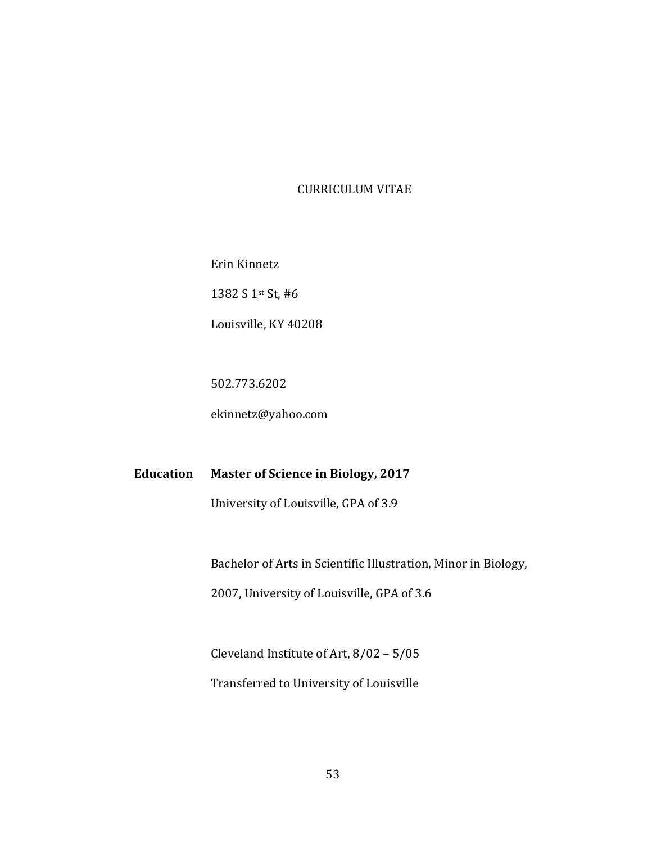#### CURRICULUM VITAE

Erin Kinnetz

1382 S 1st St, #6

Louisville, KY 40208

502.773.6202

ekinnetz@yahoo.com

**Education Master of Science in Biology, 2017**

University of Louisville, GPA of 3.9

Bachelor of Arts in Scientific Illustration, Minor in Biology,

2007, University of Louisville, GPA of 3.6

Cleveland Institute of Art,  $8/02 - 5/05$ Transferred to University of Louisville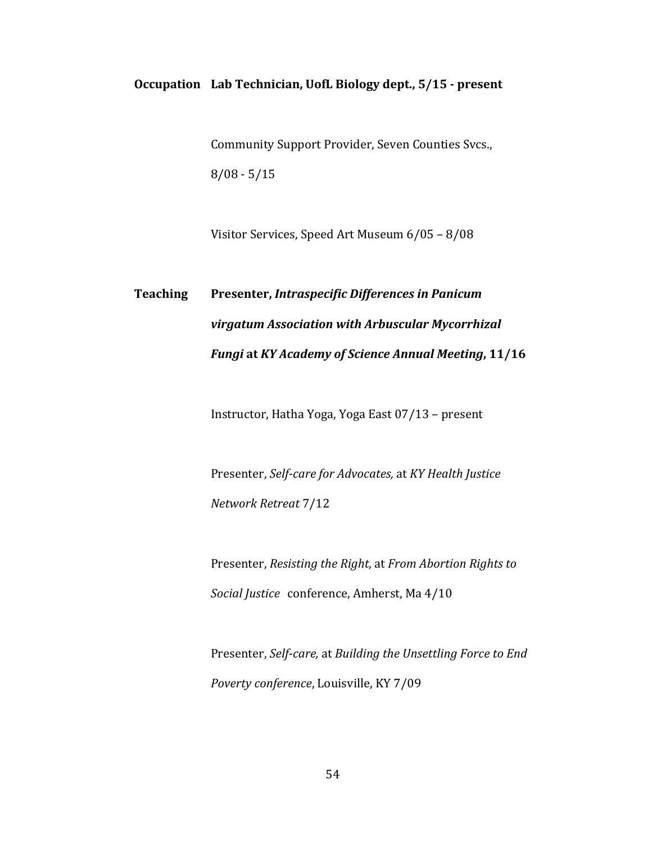#### **Occupation Lab Technician, UofL Biology dept., 5/15 - present**

Community Support Provider, Seven Counties Svcs.,  $8/08 - 5/15$ 

Visitor Services, Speed Art Museum 6/05 - 8/08

# **Teaching Presenter,** *Intraspecific Differences in Panicum virgatum Association with Arbuscular Mycorrhizal Fungi* at *KY* Academy of Science Annual Meeting, 11/16

Instructor, Hatha Yoga, Yoga East 07/13 - present

Presenter, Self-care for Advocates, at *KY* Health Justice *Network Retreat* 7/12

Presenter, *Resisting the Right*, at *From Abortion Rights to* Social Justice conference, Amherst, Ma 4/10

Presenter, Self-care, at Building the Unsettling Force to End *Poverty conference*, Louisville, KY 7/09